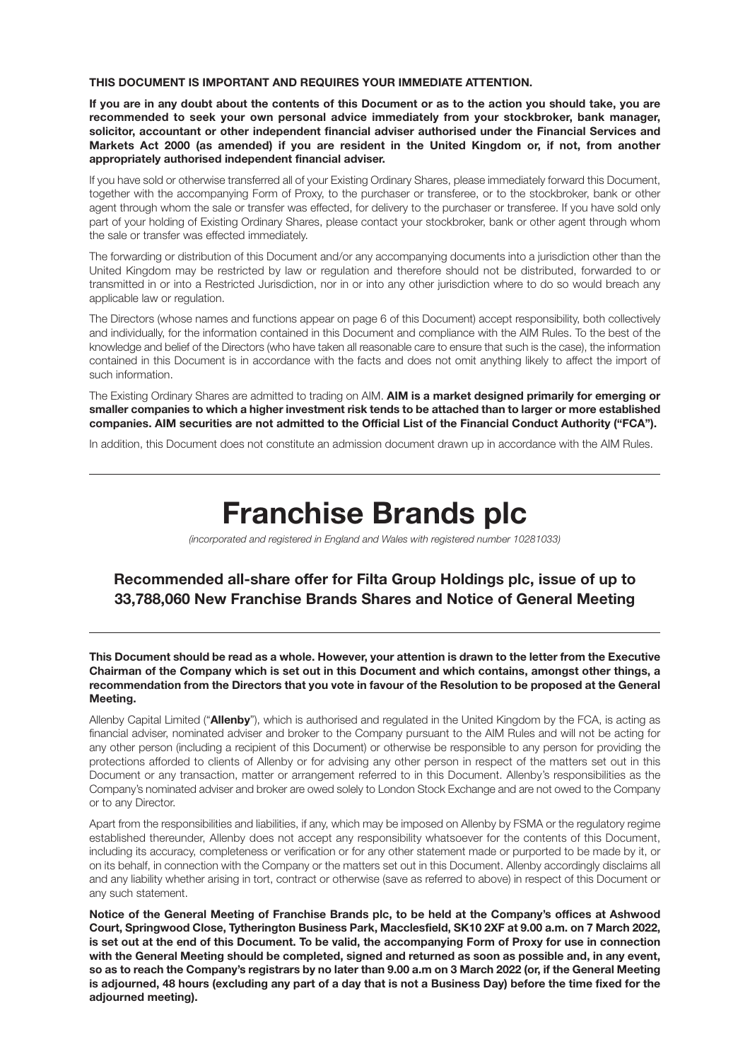#### **THIS DOCUMENT IS IMPORTANT AND REQUIRES YOUR IMMEDIATE ATTENTION.**

**If you are in any doubt about the contents of this Document or as to the action you should take, you are recommended to seek your own personal advice immediately from your stockbroker, bank manager, solicitor, accountant or other independent financial adviser authorised under the Financial Services and Markets Act 2000 (as amended) if you are resident in the United Kingdom or, if not, from another appropriately authorised independent financial adviser.**

If you have sold or otherwise transferred all of your Existing Ordinary Shares, please immediately forward this Document, together with the accompanying Form of Proxy, to the purchaser or transferee, or to the stockbroker, bank or other agent through whom the sale or transfer was effected, for delivery to the purchaser or transferee. If you have sold only part of your holding of Existing Ordinary Shares, please contact your stockbroker, bank or other agent through whom the sale or transfer was effected immediately.

The forwarding or distribution of this Document and/or any accompanying documents into a jurisdiction other than the United Kingdom may be restricted by law or regulation and therefore should not be distributed, forwarded to or transmitted in or into a Restricted Jurisdiction, nor in or into any other jurisdiction where to do so would breach any applicable law or regulation.

The Directors (whose names and functions appear on page 6 of this Document) accept responsibility, both collectively and individually, for the information contained in this Document and compliance with the AIM Rules. To the best of the knowledge and belief of the Directors (who have taken all reasonable care to ensure that such is the case), the information contained in this Document is in accordance with the facts and does not omit anything likely to affect the import of such information.

The Existing Ordinary Shares are admitted to trading on AIM. **AIM is a market designed primarily for emerging or smaller companies to which a higher investment risk tends to be attached than to larger or more established companies. AIM securities are not admitted to the Official List of the Financial Conduct Authority ("FCA").**

In addition, this Document does not constitute an admission document drawn up in accordance with the AIM Rules.

# **Franchise Brands plc**

*(incorporated and registered in England and Wales with registered number 10281033)*

# **Recommended all-share offer for Filta Group Holdings plc, issue of up to 33,788,060 New Franchise Brands Shares and Notice of General Meeting**

**This Document should be read as a whole. However, your attention is drawn to the letter from the Executive Chairman of the Company which is set out in this Document and which contains, amongst other things, a recommendation from the Directors that you vote in favour of the Resolution to be proposed at the General Meeting.**

Allenby Capital Limited ("**Allenby**"), which is authorised and regulated in the United Kingdom by the FCA, is acting as financial adviser, nominated adviser and broker to the Company pursuant to the AIM Rules and will not be acting for any other person (including a recipient of this Document) or otherwise be responsible to any person for providing the protections afforded to clients of Allenby or for advising any other person in respect of the matters set out in this Document or any transaction, matter or arrangement referred to in this Document. Allenby's responsibilities as the Company's nominated adviser and broker are owed solely to London Stock Exchange and are not owed to the Company or to any Director.

Apart from the responsibilities and liabilities, if any, which may be imposed on Allenby by FSMA or the regulatory regime established thereunder, Allenby does not accept any responsibility whatsoever for the contents of this Document, including its accuracy, completeness or verification or for any other statement made or purported to be made by it, or on its behalf, in connection with the Company or the matters set out in this Document. Allenby accordingly disclaims all and any liability whether arising in tort, contract or otherwise (save as referred to above) in respect of this Document or any such statement.

**Notice of the General Meeting of Franchise Brands plc, to be held at the Company's offices at Ashwood Court, Springwood Close, Tytherington Business Park, Macclesfield, SK10 2XF at 9.00 a.m. on 7 March 2022, is set out at the end of this Document. To be valid, the accompanying Form of Proxy for use in connection with the General Meeting should be completed, signed and returned as soon as possible and, in any event, so as to reach the Company's registrars by no later than 9.00 a.m on 3 March 2022 (or, if the General Meeting is adjourned, 48 hours (excluding any part of a day that is not a Business Day) before the time fixed for the adjourned meeting).**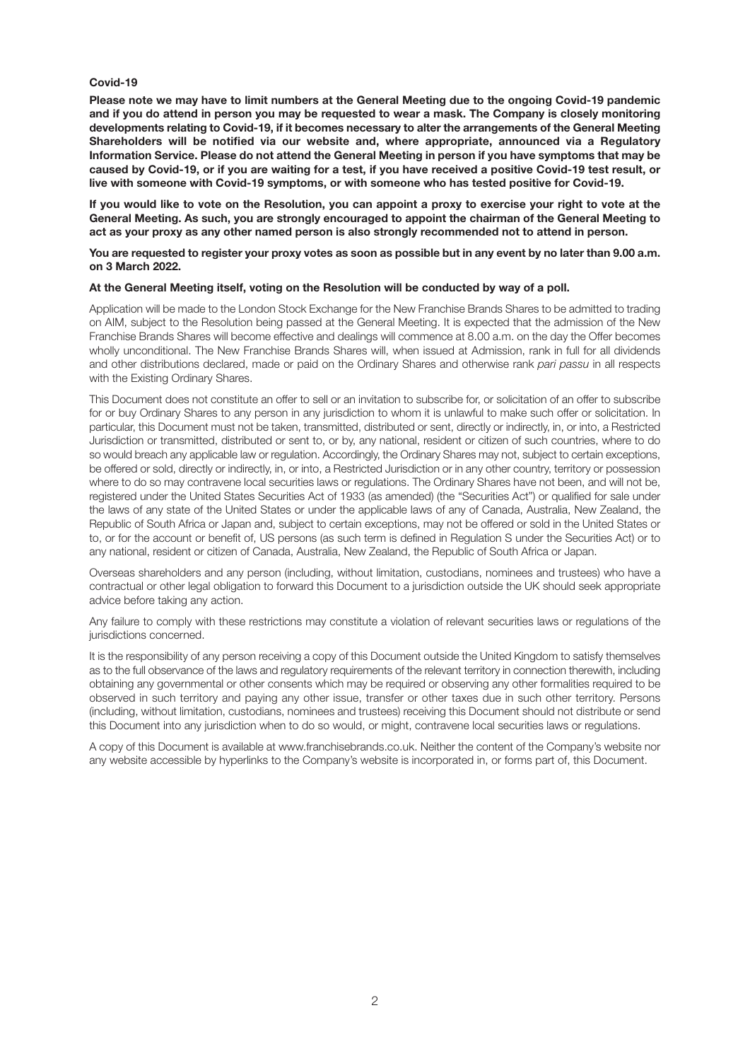#### **Covid-19**

**Please note we may have to limit numbers at the General Meeting due to the ongoing Covid-19 pandemic and if you do attend in person you may be requested to wear a mask. The Company is closely monitoring developments relating to Covid-19, if it becomes necessary to alter the arrangements of the General Meeting Shareholders will be notified via our website and, where appropriate, announced via a Regulatory Information Service. Please do not attend the General Meeting in person if you have symptoms that may be caused by Covid-19, or if you are waiting for a test, if you have received a positive Covid-19 test result, or live with someone with Covid-19 symptoms, or with someone who has tested positive for Covid-19.**

**If you would like to vote on the Resolution, you can appoint a proxy to exercise your right to vote at the General Meeting. As such, you are strongly encouraged to appoint the chairman of the General Meeting to act as your proxy as any other named person is also strongly recommended not to attend in person.**

#### **You are requested to register your proxy votes as soon as possible but in any event by no later than 9.00 a.m. on 3 March 2022.**

#### **At the General Meeting itself, voting on the Resolution will be conducted by way of a poll.**

Application will be made to the London Stock Exchange for the New Franchise Brands Shares to be admitted to trading on AIM, subject to the Resolution being passed at the General Meeting. It is expected that the admission of the New Franchise Brands Shares will become effective and dealings will commence at 8.00 a.m. on the day the Offer becomes wholly unconditional. The New Franchise Brands Shares will, when issued at Admission, rank in full for all dividends and other distributions declared, made or paid on the Ordinary Shares and otherwise rank *pari passu* in all respects with the Existing Ordinary Shares.

This Document does not constitute an offer to sell or an invitation to subscribe for, or solicitation of an offer to subscribe for or buy Ordinary Shares to any person in any jurisdiction to whom it is unlawful to make such offer or solicitation. In particular, this Document must not be taken, transmitted, distributed or sent, directly or indirectly, in, or into, a Restricted Jurisdiction or transmitted, distributed or sent to, or by, any national, resident or citizen of such countries, where to do so would breach any applicable law or regulation. Accordingly, the Ordinary Shares may not, subject to certain exceptions, be offered or sold, directly or indirectly, in, or into, a Restricted Jurisdiction or in any other country, territory or possession where to do so may contravene local securities laws or regulations. The Ordinary Shares have not been, and will not be, registered under the United States Securities Act of 1933 (as amended) (the "Securities Act") or qualified for sale under the laws of any state of the United States or under the applicable laws of any of Canada, Australia, New Zealand, the Republic of South Africa or Japan and, subject to certain exceptions, may not be offered or sold in the United States or to, or for the account or benefit of, US persons (as such term is defined in Regulation S under the Securities Act) or to any national, resident or citizen of Canada, Australia, New Zealand, the Republic of South Africa or Japan.

Overseas shareholders and any person (including, without limitation, custodians, nominees and trustees) who have a contractual or other legal obligation to forward this Document to a jurisdiction outside the UK should seek appropriate advice before taking any action.

Any failure to comply with these restrictions may constitute a violation of relevant securities laws or regulations of the jurisdictions concerned.

It is the responsibility of any person receiving a copy of this Document outside the United Kingdom to satisfy themselves as to the full observance of the laws and regulatory requirements of the relevant territory in connection therewith, including obtaining any governmental or other consents which may be required or observing any other formalities required to be observed in such territory and paying any other issue, transfer or other taxes due in such other territory. Persons (including, without limitation, custodians, nominees and trustees) receiving this Document should not distribute or send this Document into any jurisdiction when to do so would, or might, contravene local securities laws or regulations.

A copy of this Document is available at www.franchisebrands.co.uk. Neither the content of the Company's website nor any website accessible by hyperlinks to the Company's website is incorporated in, or forms part of, this Document.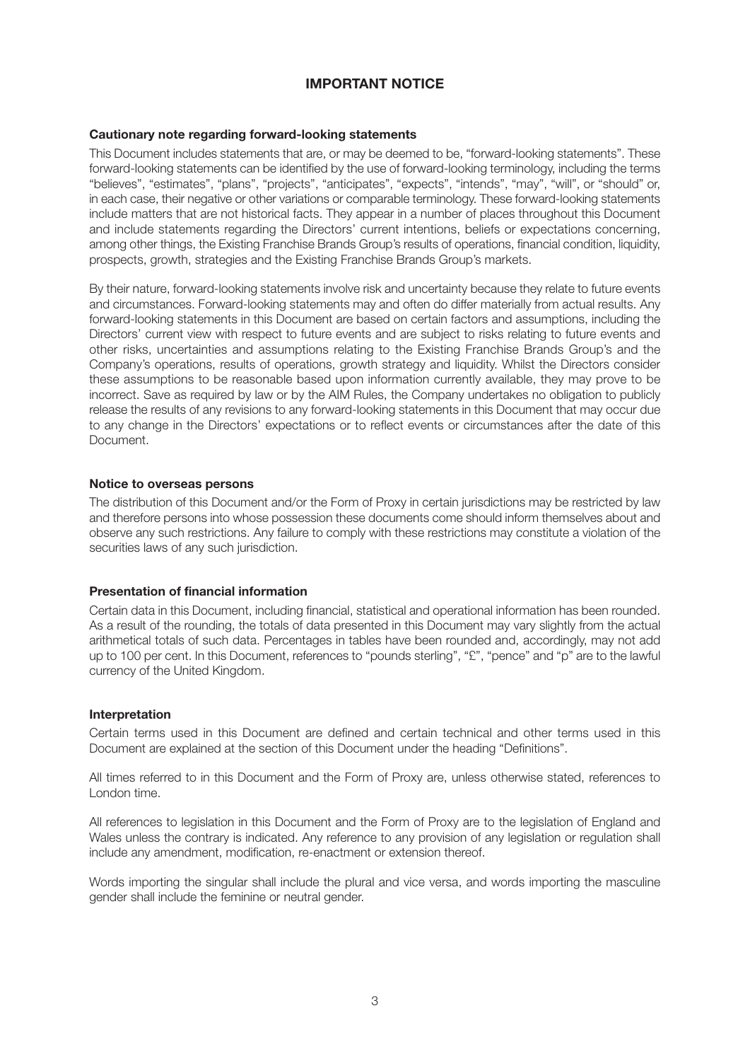## **IMPORTANT NOTICE**

#### **Cautionary note regarding forward-looking statements**

This Document includes statements that are, or may be deemed to be, "forward-looking statements". These forward-looking statements can be identified by the use of forward-looking terminology, including the terms "believes", "estimates", "plans", "projects", "anticipates", "expects", "intends", "may", "will", or "should" or, in each case, their negative or other variations or comparable terminology. These forward-looking statements include matters that are not historical facts. They appear in a number of places throughout this Document and include statements regarding the Directors' current intentions, beliefs or expectations concerning, among other things, the Existing Franchise Brands Group's results of operations, financial condition, liquidity, prospects, growth, strategies and the Existing Franchise Brands Group's markets.

By their nature, forward-looking statements involve risk and uncertainty because they relate to future events and circumstances. Forward-looking statements may and often do differ materially from actual results. Any forward-looking statements in this Document are based on certain factors and assumptions, including the Directors' current view with respect to future events and are subject to risks relating to future events and other risks, uncertainties and assumptions relating to the Existing Franchise Brands Group's and the Company's operations, results of operations, growth strategy and liquidity. Whilst the Directors consider these assumptions to be reasonable based upon information currently available, they may prove to be incorrect. Save as required by law or by the AIM Rules, the Company undertakes no obligation to publicly release the results of any revisions to any forward-looking statements in this Document that may occur due to any change in the Directors' expectations or to reflect events or circumstances after the date of this Document.

#### **Notice to overseas persons**

The distribution of this Document and/or the Form of Proxy in certain jurisdictions may be restricted by law and therefore persons into whose possession these documents come should inform themselves about and observe any such restrictions. Any failure to comply with these restrictions may constitute a violation of the securities laws of any such jurisdiction.

#### **Presentation of financial information**

Certain data in this Document, including financial, statistical and operational information has been rounded. As a result of the rounding, the totals of data presented in this Document may vary slightly from the actual arithmetical totals of such data. Percentages in tables have been rounded and, accordingly, may not add up to 100 per cent. In this Document, references to "pounds sterling", "£", "pence" and "p" are to the lawful currency of the United Kingdom.

#### **Interpretation**

Certain terms used in this Document are defined and certain technical and other terms used in this Document are explained at the section of this Document under the heading "Definitions".

All times referred to in this Document and the Form of Proxy are, unless otherwise stated, references to London time.

All references to legislation in this Document and the Form of Proxy are to the legislation of England and Wales unless the contrary is indicated. Any reference to any provision of any legislation or regulation shall include any amendment, modification, re-enactment or extension thereof.

Words importing the singular shall include the plural and vice versa, and words importing the masculine gender shall include the feminine or neutral gender.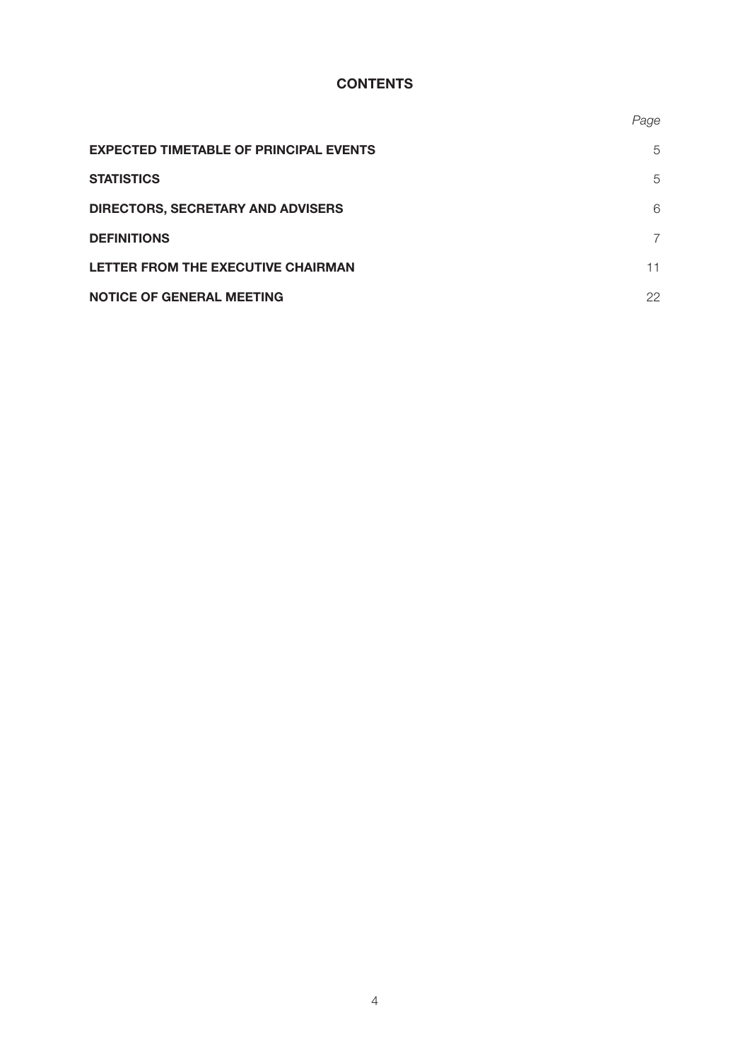## **CONTENTS**

|                                               | Page |
|-----------------------------------------------|------|
| <b>EXPECTED TIMETABLE OF PRINCIPAL EVENTS</b> | 5    |
| <b>STATISTICS</b>                             | 5    |
| <b>DIRECTORS, SECRETARY AND ADVISERS</b>      | 6    |
| <b>DEFINITIONS</b>                            | 7    |
| LETTER FROM THE EXECUTIVE CHAIRMAN            | 11   |
| <b>NOTICE OF GENERAL MEETING</b>              | 22   |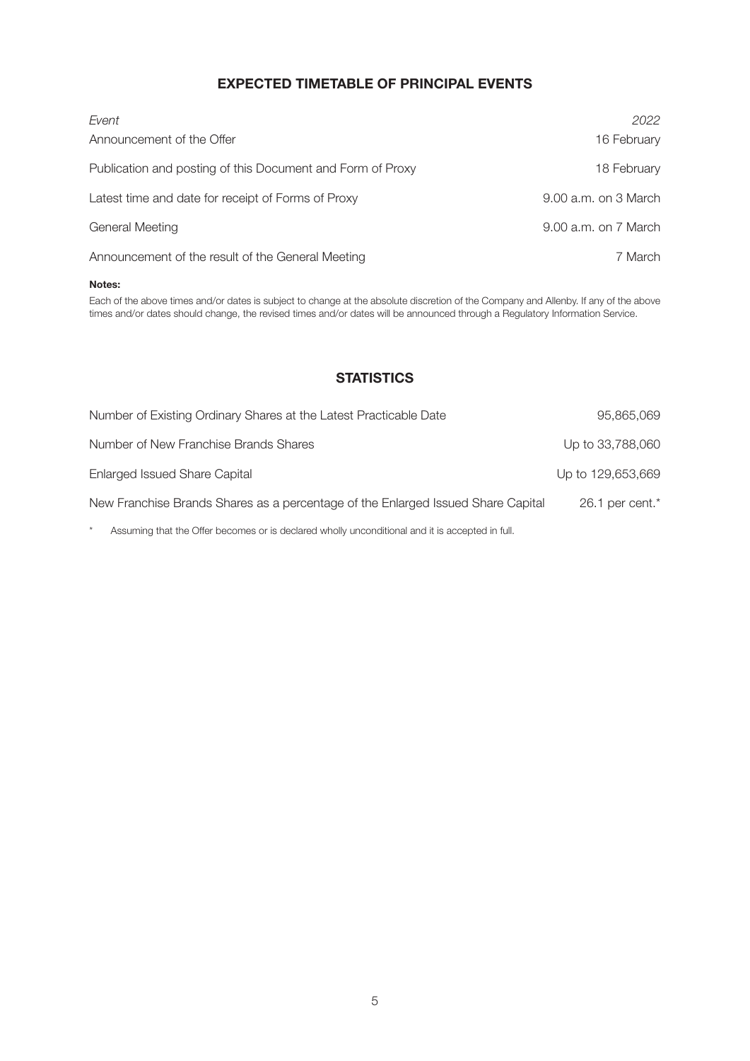## **EXPECTED TIMETABLE OF PRINCIPAL EVENTS**

| Event                                                      | 2022                     |
|------------------------------------------------------------|--------------------------|
| Announcement of the Offer                                  | 16 February              |
| Publication and posting of this Document and Form of Proxy | 18 February              |
| Latest time and date for receipt of Forms of Proxy         | 9.00 a.m. on 3 March     |
| <b>General Meeting</b>                                     | $9.00$ a.m. on $7$ March |
| Announcement of the result of the General Meeting          | 7 March                  |

#### **Notes:**

Each of the above times and/or dates is subject to change at the absolute discretion of the Company and Allenby. If any of the above times and/or dates should change, the revised times and/or dates will be announced through a Regulatory Information Service.

## **STATISTICS**

| Number of Existing Ordinary Shares at the Latest Practicable Date                | 95,865,069           |
|----------------------------------------------------------------------------------|----------------------|
| Number of New Franchise Brands Shares                                            | Up to 33,788,060     |
| Enlarged Issued Share Capital                                                    | Up to 129,653,669    |
| New Franchise Brands Shares as a percentage of the Enlarged Issued Share Capital | $26.1$ per cent. $*$ |

\* Assuming that the Offer becomes or is declared wholly unconditional and it is accepted in full.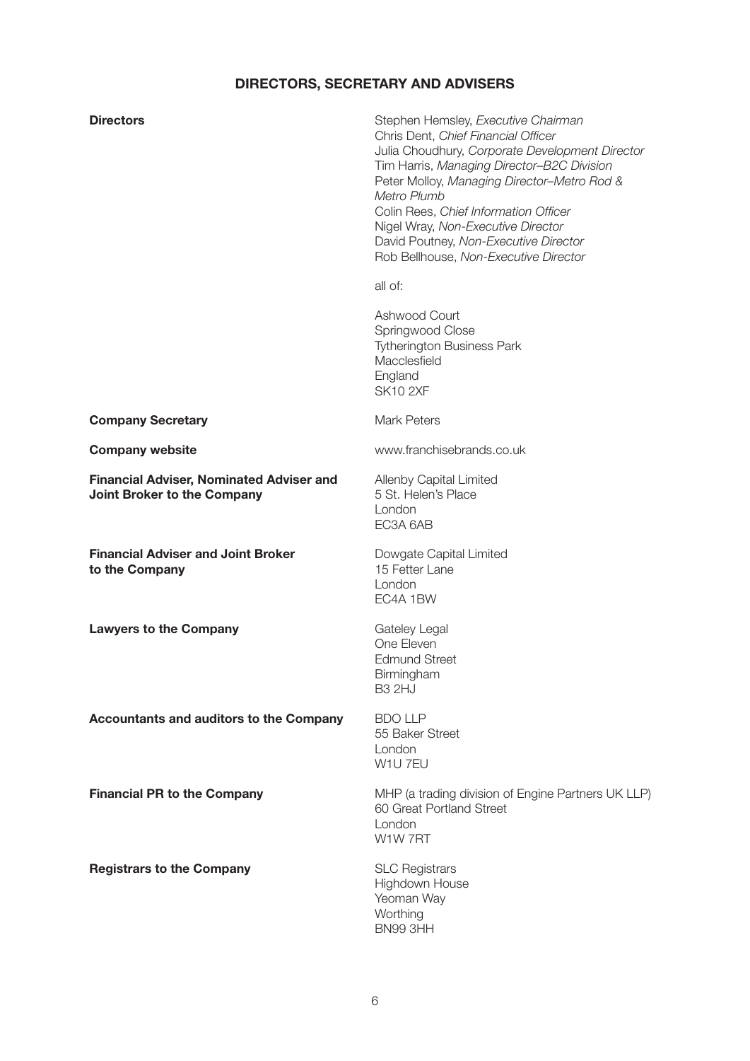# **DIRECTORS, SECRETARY AND ADVISERS**

| <b>Directors</b>                                                               | Stephen Hemsley, Executive Chairman<br>Chris Dent, Chief Financial Officer<br>Julia Choudhury, Corporate Development Director<br>Tim Harris, Managing Director-B2C Division<br>Peter Molloy, Managing Director-Metro Rod &<br>Metro Plumb<br>Colin Rees, Chief Information Officer<br>Nigel Wray, Non-Executive Director<br>David Poutney, Non-Executive Director<br>Rob Bellhouse, Non-Executive Director |
|--------------------------------------------------------------------------------|------------------------------------------------------------------------------------------------------------------------------------------------------------------------------------------------------------------------------------------------------------------------------------------------------------------------------------------------------------------------------------------------------------|
|                                                                                | all of:                                                                                                                                                                                                                                                                                                                                                                                                    |
|                                                                                | Ashwood Court<br>Springwood Close<br><b>Tytherington Business Park</b><br>Macclesfield<br>England<br><b>SK10 2XF</b>                                                                                                                                                                                                                                                                                       |
| <b>Company Secretary</b>                                                       | <b>Mark Peters</b>                                                                                                                                                                                                                                                                                                                                                                                         |
| <b>Company website</b>                                                         | www.franchisebrands.co.uk                                                                                                                                                                                                                                                                                                                                                                                  |
| <b>Financial Adviser, Nominated Adviser and</b><br>Joint Broker to the Company | Allenby Capital Limited<br>5 St. Helen's Place<br>London<br>EC3A 6AB                                                                                                                                                                                                                                                                                                                                       |
| <b>Financial Adviser and Joint Broker</b><br>to the Company                    | Dowgate Capital Limited<br>15 Fetter Lane<br>London<br>EC4A 1BW                                                                                                                                                                                                                                                                                                                                            |
| <b>Lawyers to the Company</b>                                                  | Gateley Legal<br>One Eleven<br><b>Edmund Street</b><br>Birmingham<br><b>B3 2HJ</b>                                                                                                                                                                                                                                                                                                                         |
| <b>Accountants and auditors to the Company</b>                                 | <b>BDO LLP</b><br>55 Baker Street<br>London<br>W1U 7EU                                                                                                                                                                                                                                                                                                                                                     |
| <b>Financial PR to the Company</b>                                             | MHP (a trading division of Engine Partners UK LLP)<br>60 Great Portland Street<br>London<br>W1W7RT                                                                                                                                                                                                                                                                                                         |
| <b>Registrars to the Company</b>                                               | <b>SLC Registrars</b><br>Highdown House<br>Yeoman Way<br>Worthing<br>BN99 3HH                                                                                                                                                                                                                                                                                                                              |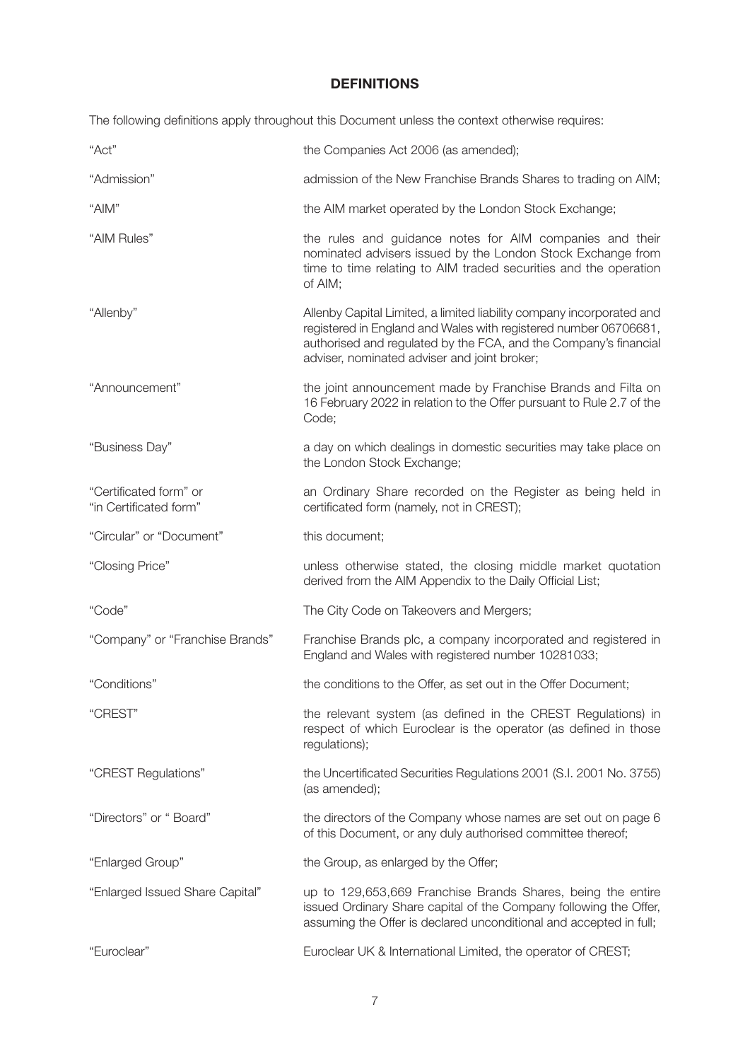## **DEFINITIONS**

The following definitions apply throughout this Document unless the context otherwise requires:

| "Act"                                            | the Companies Act 2006 (as amended);                                                                                                                                                                                                                          |
|--------------------------------------------------|---------------------------------------------------------------------------------------------------------------------------------------------------------------------------------------------------------------------------------------------------------------|
| "Admission"                                      | admission of the New Franchise Brands Shares to trading on AIM;                                                                                                                                                                                               |
| "AIM"                                            | the AIM market operated by the London Stock Exchange;                                                                                                                                                                                                         |
| "AIM Rules"                                      | the rules and guidance notes for AIM companies and their<br>nominated advisers issued by the London Stock Exchange from<br>time to time relating to AIM traded securities and the operation<br>of AIM;                                                        |
| "Allenby"                                        | Allenby Capital Limited, a limited liability company incorporated and<br>registered in England and Wales with registered number 06706681,<br>authorised and regulated by the FCA, and the Company's financial<br>adviser, nominated adviser and joint broker; |
| "Announcement"                                   | the joint announcement made by Franchise Brands and Filta on<br>16 February 2022 in relation to the Offer pursuant to Rule 2.7 of the<br>Code;                                                                                                                |
| "Business Day"                                   | a day on which dealings in domestic securities may take place on<br>the London Stock Exchange;                                                                                                                                                                |
| "Certificated form" or<br>"in Certificated form" | an Ordinary Share recorded on the Register as being held in<br>certificated form (namely, not in CREST);                                                                                                                                                      |
| "Circular" or "Document"                         | this document;                                                                                                                                                                                                                                                |
| "Closing Price"                                  | unless otherwise stated, the closing middle market quotation<br>derived from the AIM Appendix to the Daily Official List;                                                                                                                                     |
| "Code"                                           | The City Code on Takeovers and Mergers;                                                                                                                                                                                                                       |
| "Company" or "Franchise Brands"                  | Franchise Brands plc, a company incorporated and registered in<br>England and Wales with registered number 10281033;                                                                                                                                          |
| "Conditions"                                     | the conditions to the Offer, as set out in the Offer Document;                                                                                                                                                                                                |
| "CREST"                                          | the relevant system (as defined in the CREST Regulations) in<br>respect of which Euroclear is the operator (as defined in those<br>regulations);                                                                                                              |
| "CREST Regulations"                              | the Uncertificated Securities Regulations 2001 (S.I. 2001 No. 3755)<br>(as amended);                                                                                                                                                                          |
| "Directors" or " Board"                          | the directors of the Company whose names are set out on page 6<br>of this Document, or any duly authorised committee thereof;                                                                                                                                 |
| "Enlarged Group"                                 | the Group, as enlarged by the Offer;                                                                                                                                                                                                                          |
| "Enlarged Issued Share Capital"                  | up to 129,653,669 Franchise Brands Shares, being the entire<br>issued Ordinary Share capital of the Company following the Offer,<br>assuming the Offer is declared unconditional and accepted in full;                                                        |
| "Euroclear"                                      | Euroclear UK & International Limited, the operator of CREST;                                                                                                                                                                                                  |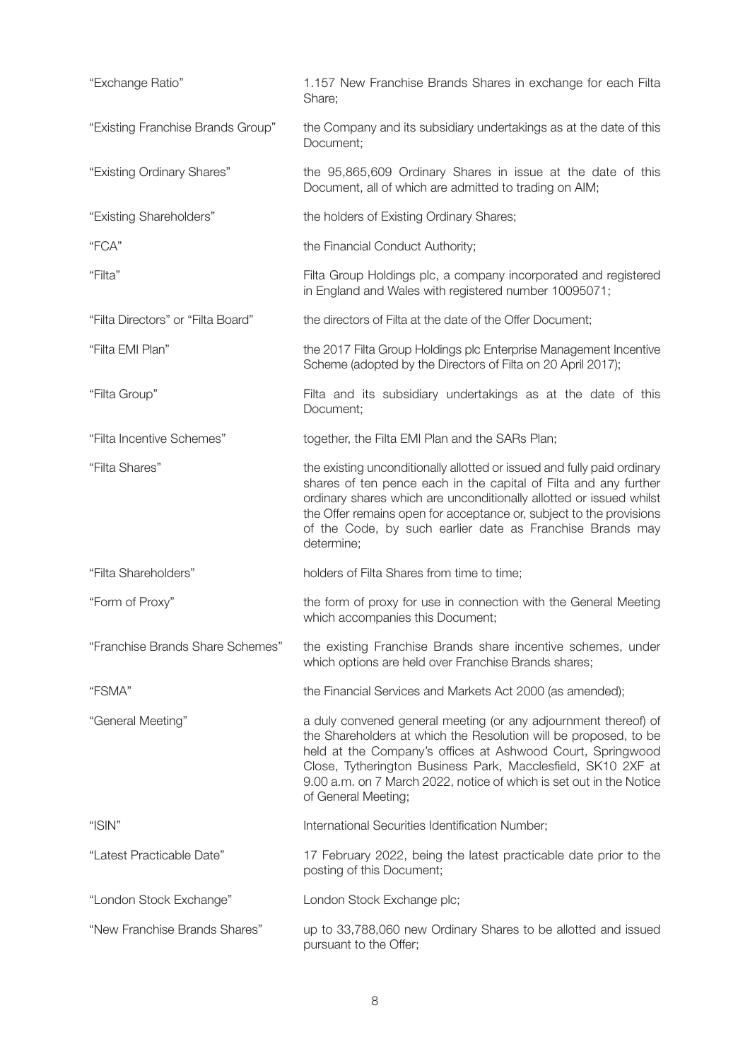| "Exchange Ratio"                   | 1.157 New Franchise Brands Shares in exchange for each Filta<br>Share;                                                                                                                                                                                                                                                                                               |
|------------------------------------|----------------------------------------------------------------------------------------------------------------------------------------------------------------------------------------------------------------------------------------------------------------------------------------------------------------------------------------------------------------------|
| "Existing Franchise Brands Group"  | the Company and its subsidiary undertakings as at the date of this<br>Document;                                                                                                                                                                                                                                                                                      |
| "Existing Ordinary Shares"         | the 95,865,609 Ordinary Shares in issue at the date of this<br>Document, all of which are admitted to trading on AIM;                                                                                                                                                                                                                                                |
| "Existing Shareholders"            | the holders of Existing Ordinary Shares;                                                                                                                                                                                                                                                                                                                             |
| "FCA"                              | the Financial Conduct Authority;                                                                                                                                                                                                                                                                                                                                     |
| "Filta"                            | Filta Group Holdings plc, a company incorporated and registered<br>in England and Wales with registered number 10095071;                                                                                                                                                                                                                                             |
| "Filta Directors" or "Filta Board" | the directors of Filta at the date of the Offer Document;                                                                                                                                                                                                                                                                                                            |
| "Filta EMI Plan"                   | the 2017 Filta Group Holdings plc Enterprise Management Incentive<br>Scheme (adopted by the Directors of Filta on 20 April 2017);                                                                                                                                                                                                                                    |
| "Filta Group"                      | Filta and its subsidiary undertakings as at the date of this<br>Document;                                                                                                                                                                                                                                                                                            |
| "Filta Incentive Schemes"          | together, the Filta EMI Plan and the SARs Plan;                                                                                                                                                                                                                                                                                                                      |
| "Filta Shares"                     | the existing unconditionally allotted or issued and fully paid ordinary<br>shares of ten pence each in the capital of Filta and any further<br>ordinary shares which are unconditionally allotted or issued whilst<br>the Offer remains open for acceptance or, subject to the provisions<br>of the Code, by such earlier date as Franchise Brands may<br>determine; |
| "Filta Shareholders"               | holders of Filta Shares from time to time;                                                                                                                                                                                                                                                                                                                           |
| "Form of Proxy"                    | the form of proxy for use in connection with the General Meeting<br>which accompanies this Document;                                                                                                                                                                                                                                                                 |
| "Franchise Brands Share Schemes"   | the existing Franchise Brands share incentive schemes, under<br>which options are held over Franchise Brands shares;                                                                                                                                                                                                                                                 |
| "FSMA"                             | the Financial Services and Markets Act 2000 (as amended);                                                                                                                                                                                                                                                                                                            |
| "General Meeting"                  | a duly convened general meeting (or any adjournment thereof) of<br>the Shareholders at which the Resolution will be proposed, to be<br>held at the Company's offices at Ashwood Court, Springwood<br>Close, Tytherington Business Park, Macclesfield, SK10 2XF at<br>9.00 a.m. on 7 March 2022, notice of which is set out in the Notice<br>of General Meeting;      |
| "ISIN"                             | International Securities Identification Number;                                                                                                                                                                                                                                                                                                                      |
| "Latest Practicable Date"          | 17 February 2022, being the latest practicable date prior to the<br>posting of this Document;                                                                                                                                                                                                                                                                        |
| "London Stock Exchange"            | London Stock Exchange plc;                                                                                                                                                                                                                                                                                                                                           |
| "New Franchise Brands Shares"      | up to 33,788,060 new Ordinary Shares to be allotted and issued<br>pursuant to the Offer;                                                                                                                                                                                                                                                                             |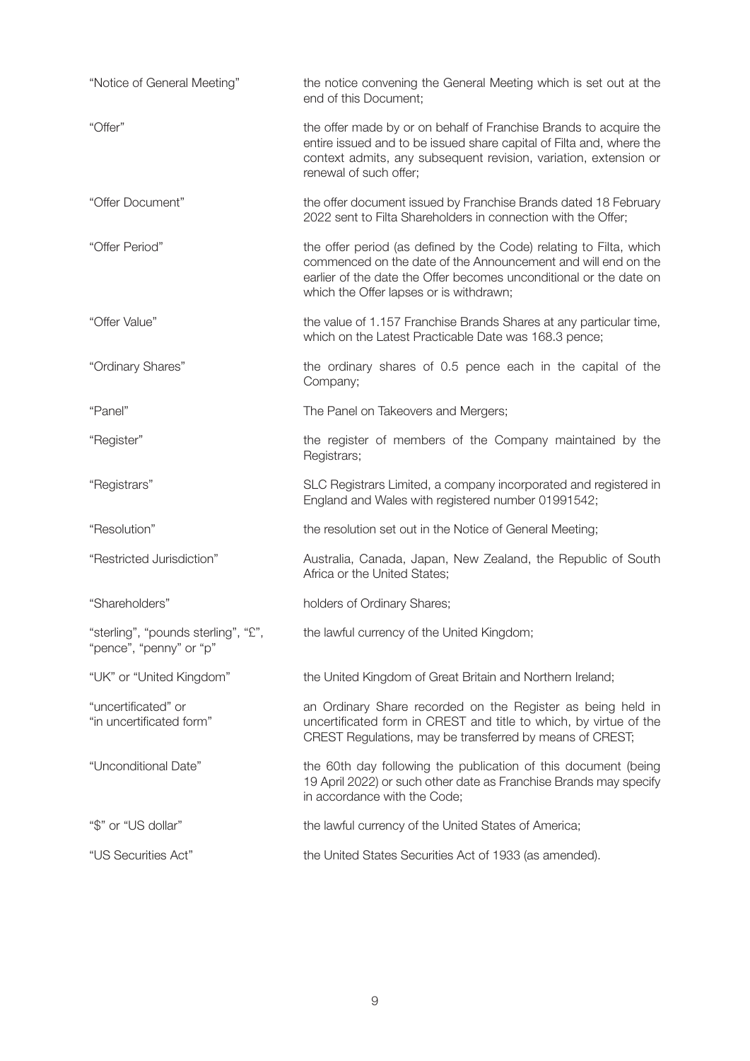| "Notice of General Meeting"                                   | the notice convening the General Meeting which is set out at the<br>end of this Document;                                                                                                                                                            |
|---------------------------------------------------------------|------------------------------------------------------------------------------------------------------------------------------------------------------------------------------------------------------------------------------------------------------|
| "Offer"                                                       | the offer made by or on behalf of Franchise Brands to acquire the<br>entire issued and to be issued share capital of Filta and, where the<br>context admits, any subsequent revision, variation, extension or<br>renewal of such offer;              |
| "Offer Document"                                              | the offer document issued by Franchise Brands dated 18 February<br>2022 sent to Filta Shareholders in connection with the Offer;                                                                                                                     |
| "Offer Period"                                                | the offer period (as defined by the Code) relating to Filta, which<br>commenced on the date of the Announcement and will end on the<br>earlier of the date the Offer becomes unconditional or the date on<br>which the Offer lapses or is withdrawn; |
| "Offer Value"                                                 | the value of 1.157 Franchise Brands Shares at any particular time,<br>which on the Latest Practicable Date was 168.3 pence;                                                                                                                          |
| "Ordinary Shares"                                             | the ordinary shares of 0.5 pence each in the capital of the<br>Company;                                                                                                                                                                              |
| "Panel"                                                       | The Panel on Takeovers and Mergers;                                                                                                                                                                                                                  |
| "Register"                                                    | the register of members of the Company maintained by the<br>Registrars;                                                                                                                                                                              |
| "Registrars"                                                  | SLC Registrars Limited, a company incorporated and registered in<br>England and Wales with registered number 01991542;                                                                                                                               |
| "Resolution"                                                  | the resolution set out in the Notice of General Meeting;                                                                                                                                                                                             |
| "Restricted Jurisdiction"                                     | Australia, Canada, Japan, New Zealand, the Republic of South<br>Africa or the United States;                                                                                                                                                         |
| "Shareholders"                                                | holders of Ordinary Shares;                                                                                                                                                                                                                          |
| "sterling", "pounds sterling", "£"<br>"pence", "penny" or "p" | the lawful currency of the United Kingdom;                                                                                                                                                                                                           |
| "UK" or "United Kingdom"                                      | the United Kingdom of Great Britain and Northern Ireland;                                                                                                                                                                                            |
| "uncertificated" or<br>"in uncertificated form"               | an Ordinary Share recorded on the Register as being held in<br>uncertificated form in CREST and title to which, by virtue of the<br>CREST Regulations, may be transferred by means of CREST;                                                         |
| "Unconditional Date"                                          | the 60th day following the publication of this document (being<br>19 April 2022) or such other date as Franchise Brands may specify<br>in accordance with the Code;                                                                                  |
| "\$" or "US dollar"                                           | the lawful currency of the United States of America;                                                                                                                                                                                                 |
| "US Securities Act"                                           | the United States Securities Act of 1933 (as amended).                                                                                                                                                                                               |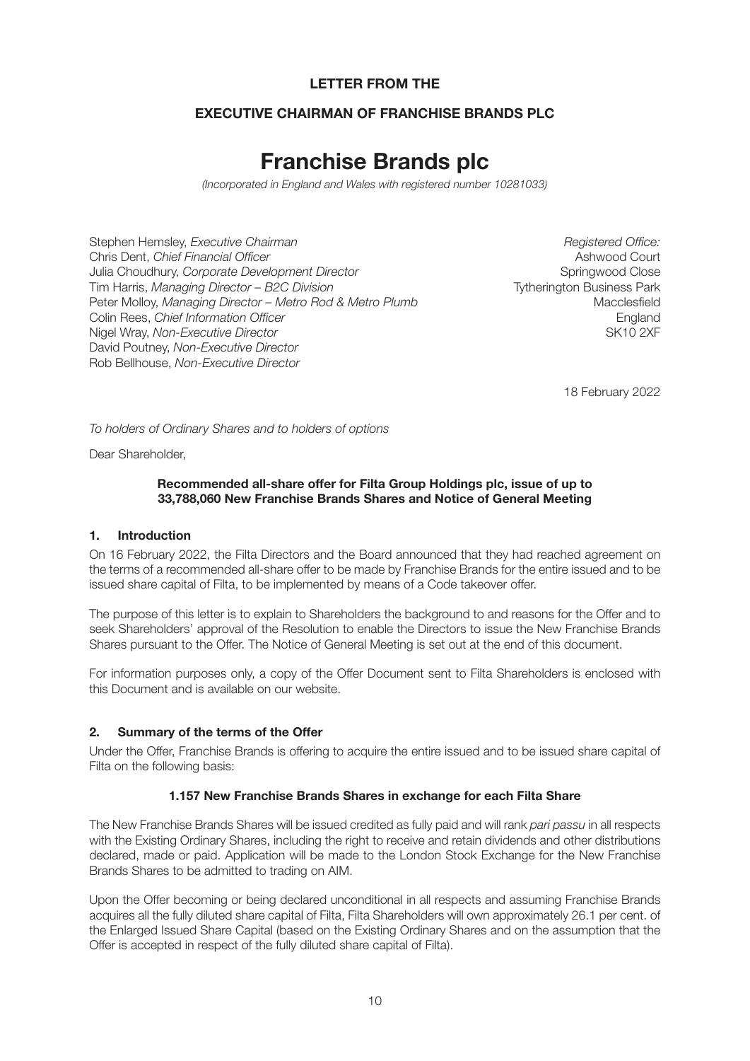## **LETTER FROM THE**

## **EXECUTIVE CHAIRMAN OF FRANCHISE BRANDS PLC**

# **Franchise Brands plc**

*(Incorporated in England and Wales with registered number 10281033)*

Stephen Hemsley, *Executive Chairman* **Registered Office:** Registered Office: Chris Dent, *Chief Financial Officer* Ashwood Court Julia Choudhury, *Corporate Development Director* **Springwood Close Springwood Close** Tim Harris, *Managing Director – B2C Division* **The Convention Convention Convention** Tytherington Business Park Peter Molloy, *Managing Director – Metro Rod & Metro Plumb* Macclesfield Colin Rees, *Chief Information Officer* **England England** Nigel Wray, *Non-Executive Director* **SK10 2XF** and the state of the SK10 2XF and the SK10 2XF David Poutney, *Non-Executive Director* Rob Bellhouse, *Non-Executive Director*

18 February 2022

*To holders of Ordinary Shares and to holders of options*

Dear Shareholder,

#### **Recommended all-share offer for Filta Group Holdings plc, issue of up to 33,788,060 New Franchise Brands Shares and Notice of General Meeting**

#### **1. Introduction**

On 16 February 2022, the Filta Directors and the Board announced that they had reached agreement on the terms of a recommended all-share offer to be made by Franchise Brands for the entire issued and to be issued share capital of Filta, to be implemented by means of a Code takeover offer.

The purpose of this letter is to explain to Shareholders the background to and reasons for the Offer and to seek Shareholders' approval of the Resolution to enable the Directors to issue the New Franchise Brands Shares pursuant to the Offer. The Notice of General Meeting is set out at the end of this document.

For information purposes only, a copy of the Offer Document sent to Filta Shareholders is enclosed with this Document and is available on our website.

#### **2. Summary of the terms of the Offer**

Under the Offer, Franchise Brands is offering to acquire the entire issued and to be issued share capital of Filta on the following basis:

#### **1.157 New Franchise Brands Shares in exchange for each Filta Share**

The New Franchise Brands Shares will be issued credited as fully paid and will rank *pari passu* in all respects with the Existing Ordinary Shares, including the right to receive and retain dividends and other distributions declared, made or paid. Application will be made to the London Stock Exchange for the New Franchise Brands Shares to be admitted to trading on AIM.

Upon the Offer becoming or being declared unconditional in all respects and assuming Franchise Brands acquires all the fully diluted share capital of Filta, Filta Shareholders will own approximately 26.1 per cent. of the Enlarged Issued Share Capital (based on the Existing Ordinary Shares and on the assumption that the Offer is accepted in respect of the fully diluted share capital of Filta).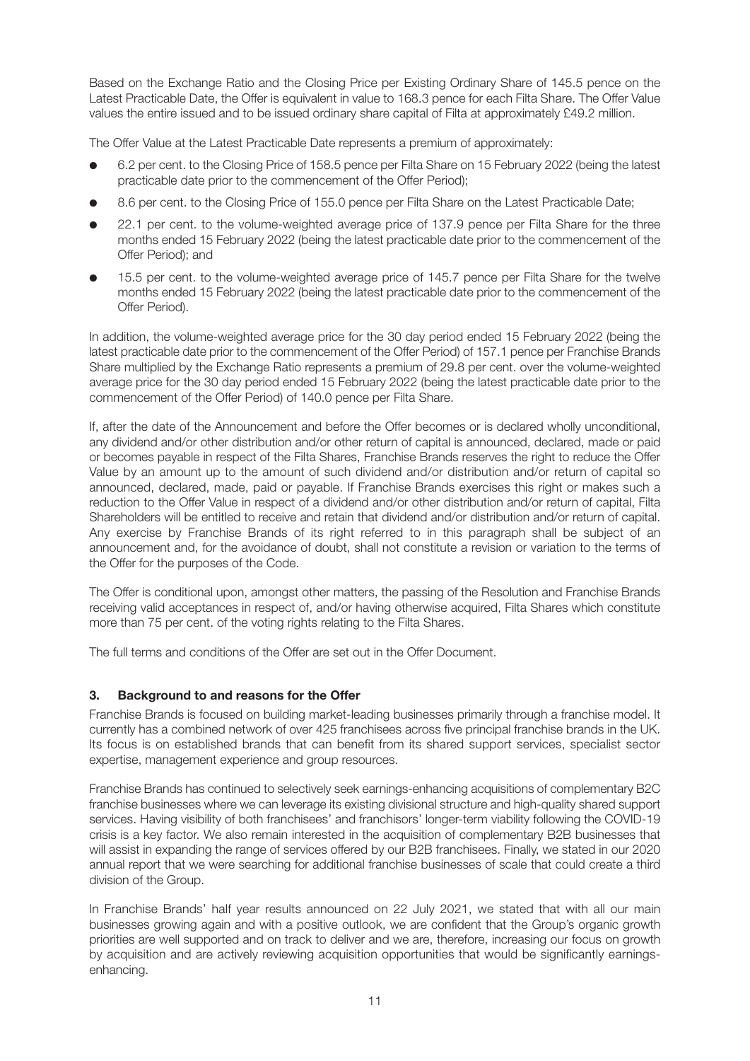Based on the Exchange Ratio and the Closing Price per Existing Ordinary Share of 145.5 pence on the Latest Practicable Date, the Offer is equivalent in value to 168.3 pence for each Filta Share. The Offer Value values the entire issued and to be issued ordinary share capital of Filta at approximately £49.2 million.

The Offer Value at the Latest Practicable Date represents a premium of approximately:

- l 6.2 per cent. to the Closing Price of 158.5 pence per Filta Share on 15 February 2022 (being the latest practicable date prior to the commencement of the Offer Period);
- 8.6 per cent. to the Closing Price of 155.0 pence per Filta Share on the Latest Practicable Date;
- 22.1 per cent. to the volume-weighted average price of 137.9 pence per Filta Share for the three months ended 15 February 2022 (being the latest practicable date prior to the commencement of the Offer Period); and
- l 15.5 per cent. to the volume-weighted average price of 145.7 pence per Filta Share for the twelve months ended 15 February 2022 (being the latest practicable date prior to the commencement of the Offer Period).

In addition, the volume-weighted average price for the 30 day period ended 15 February 2022 (being the latest practicable date prior to the commencement of the Offer Period) of 157.1 pence per Franchise Brands Share multiplied by the Exchange Ratio represents a premium of 29.8 per cent. over the volume-weighted average price for the 30 day period ended 15 February 2022 (being the latest practicable date prior to the commencement of the Offer Period) of 140.0 pence per Filta Share.

If, after the date of the Announcement and before the Offer becomes or is declared wholly unconditional, any dividend and/or other distribution and/or other return of capital is announced, declared, made or paid or becomes payable in respect of the Filta Shares, Franchise Brands reserves the right to reduce the Offer Value by an amount up to the amount of such dividend and/or distribution and/or return of capital so announced, declared, made, paid or payable. If Franchise Brands exercises this right or makes such a reduction to the Offer Value in respect of a dividend and/or other distribution and/or return of capital, Filta Shareholders will be entitled to receive and retain that dividend and/or distribution and/or return of capital. Any exercise by Franchise Brands of its right referred to in this paragraph shall be subject of an announcement and, for the avoidance of doubt, shall not constitute a revision or variation to the terms of the Offer for the purposes of the Code.

The Offer is conditional upon, amongst other matters, the passing of the Resolution and Franchise Brands receiving valid acceptances in respect of, and/or having otherwise acquired, Filta Shares which constitute more than 75 per cent. of the voting rights relating to the Filta Shares.

The full terms and conditions of the Offer are set out in the Offer Document.

#### **3. Background to and reasons for the Offer**

Franchise Brands is focused on building market-leading businesses primarily through a franchise model. It currently has a combined network of over 425 franchisees across five principal franchise brands in the UK. Its focus is on established brands that can benefit from its shared support services, specialist sector expertise, management experience and group resources.

Franchise Brands has continued to selectively seek earnings-enhancing acquisitions of complementary B2C franchise businesses where we can leverage its existing divisional structure and high-quality shared support services. Having visibility of both franchisees' and franchisors' longer-term viability following the COVID-19 crisis is a key factor. We also remain interested in the acquisition of complementary B2B businesses that will assist in expanding the range of services offered by our B2B franchisees. Finally, we stated in our 2020 annual report that we were searching for additional franchise businesses of scale that could create a third division of the Group.

In Franchise Brands' half year results announced on 22 July 2021, we stated that with all our main businesses growing again and with a positive outlook, we are confident that the Group's organic growth priorities are well supported and on track to deliver and we are, therefore, increasing our focus on growth by acquisition and are actively reviewing acquisition opportunities that would be significantly earningsenhancing.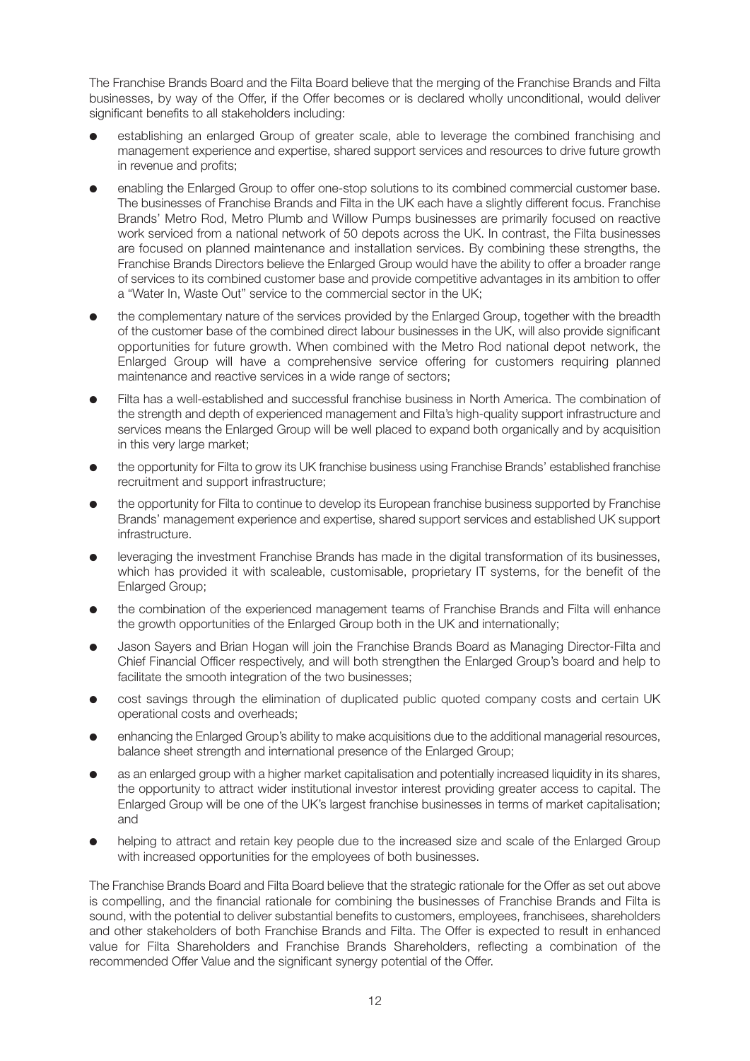The Franchise Brands Board and the Filta Board believe that the merging of the Franchise Brands and Filta businesses, by way of the Offer, if the Offer becomes or is declared wholly unconditional, would deliver significant benefits to all stakeholders including:

- l establishing an enlarged Group of greater scale, able to leverage the combined franchising and management experience and expertise, shared support services and resources to drive future growth in revenue and profits;
- enabling the Enlarged Group to offer one-stop solutions to its combined commercial customer base. The businesses of Franchise Brands and Filta in the UK each have a slightly different focus. Franchise Brands' Metro Rod, Metro Plumb and Willow Pumps businesses are primarily focused on reactive work serviced from a national network of 50 depots across the UK. In contrast, the Filta businesses are focused on planned maintenance and installation services. By combining these strengths, the Franchise Brands Directors believe the Enlarged Group would have the ability to offer a broader range of services to its combined customer base and provide competitive advantages in its ambition to offer a "Water In, Waste Out" service to the commercial sector in the UK;
- l the complementary nature of the services provided by the Enlarged Group, together with the breadth of the customer base of the combined direct labour businesses in the UK, will also provide significant opportunities for future growth. When combined with the Metro Rod national depot network, the Enlarged Group will have a comprehensive service offering for customers requiring planned maintenance and reactive services in a wide range of sectors;
- Filta has a well-established and successful franchise business in North America. The combination of the strength and depth of experienced management and Filta's high-quality support infrastructure and services means the Enlarged Group will be well placed to expand both organically and by acquisition in this very large market;
- l the opportunity for Filta to grow its UK franchise business using Franchise Brands' established franchise recruitment and support infrastructure;
- l the opportunity for Filta to continue to develop its European franchise business supported by Franchise Brands' management experience and expertise, shared support services and established UK support infrastructure.
- leveraging the investment Franchise Brands has made in the digital transformation of its businesses, which has provided it with scaleable, customisable, proprietary IT systems, for the benefit of the Enlarged Group;
- l the combination of the experienced management teams of Franchise Brands and Filta will enhance the growth opportunities of the Enlarged Group both in the UK and internationally;
- l Jason Sayers and Brian Hogan will join the Franchise Brands Board as Managing Director-Filta and Chief Financial Officer respectively, and will both strengthen the Enlarged Group's board and help to facilitate the smooth integration of the two businesses;
- $\bullet$  cost savings through the elimination of duplicated public quoted company costs and certain UK operational costs and overheads;
- enhancing the Enlarged Group's ability to make acquisitions due to the additional managerial resources, balance sheet strength and international presence of the Enlarged Group;
- as an enlarged group with a higher market capitalisation and potentially increased liquidity in its shares, the opportunity to attract wider institutional investor interest providing greater access to capital. The Enlarged Group will be one of the UK's largest franchise businesses in terms of market capitalisation; and
- helping to attract and retain key people due to the increased size and scale of the Enlarged Group with increased opportunities for the employees of both businesses.

The Franchise Brands Board and Filta Board believe that the strategic rationale for the Offer as set out above is compelling, and the financial rationale for combining the businesses of Franchise Brands and Filta is sound, with the potential to deliver substantial benefits to customers, employees, franchisees, shareholders and other stakeholders of both Franchise Brands and Filta. The Offer is expected to result in enhanced value for Filta Shareholders and Franchise Brands Shareholders, reflecting a combination of the recommended Offer Value and the significant synergy potential of the Offer.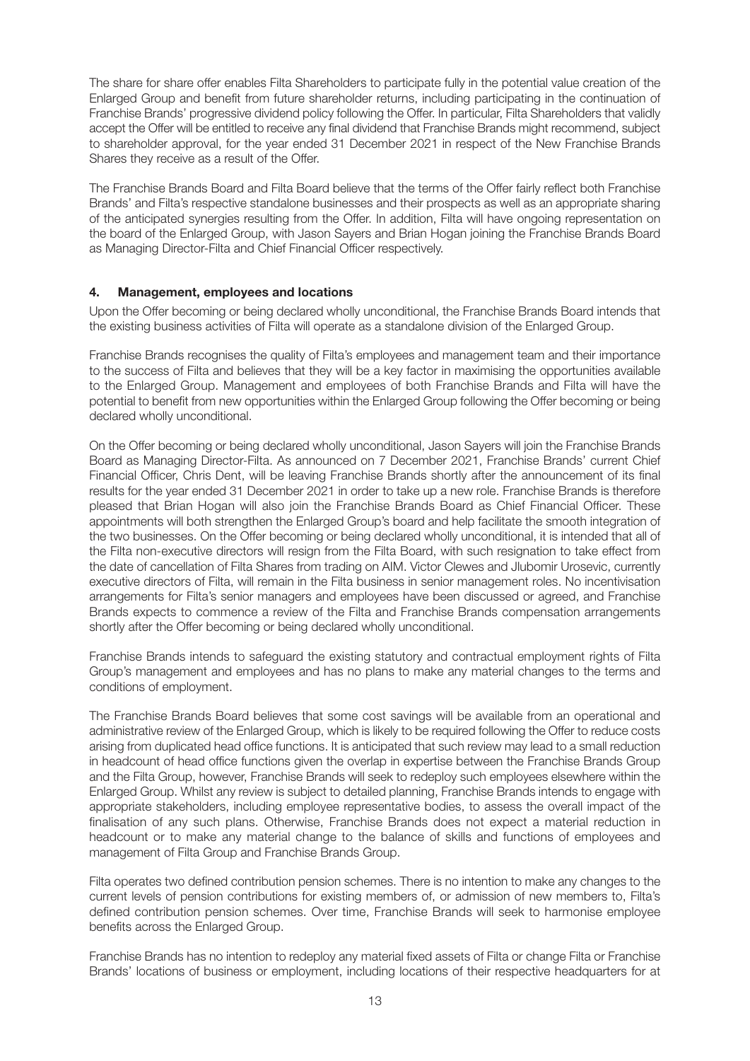The share for share offer enables Filta Shareholders to participate fully in the potential value creation of the Enlarged Group and benefit from future shareholder returns, including participating in the continuation of Franchise Brands' progressive dividend policy following the Offer. In particular, Filta Shareholders that validly accept the Offer will be entitled to receive any final dividend that Franchise Brands might recommend, subject to shareholder approval, for the year ended 31 December 2021 in respect of the New Franchise Brands Shares they receive as a result of the Offer.

The Franchise Brands Board and Filta Board believe that the terms of the Offer fairly reflect both Franchise Brands' and Filta's respective standalone businesses and their prospects as well as an appropriate sharing of the anticipated synergies resulting from the Offer. In addition, Filta will have ongoing representation on the board of the Enlarged Group, with Jason Sayers and Brian Hogan joining the Franchise Brands Board as Managing Director-Filta and Chief Financial Officer respectively.

#### **4. Management, employees and locations**

Upon the Offer becoming or being declared wholly unconditional, the Franchise Brands Board intends that the existing business activities of Filta will operate as a standalone division of the Enlarged Group.

Franchise Brands recognises the quality of Filta's employees and management team and their importance to the success of Filta and believes that they will be a key factor in maximising the opportunities available to the Enlarged Group. Management and employees of both Franchise Brands and Filta will have the potential to benefit from new opportunities within the Enlarged Group following the Offer becoming or being declared wholly unconditional.

On the Offer becoming or being declared wholly unconditional, Jason Sayers will join the Franchise Brands Board as Managing Director-Filta. As announced on 7 December 2021, Franchise Brands' current Chief Financial Officer, Chris Dent, will be leaving Franchise Brands shortly after the announcement of its final results for the year ended 31 December 2021 in order to take up a new role. Franchise Brands is therefore pleased that Brian Hogan will also join the Franchise Brands Board as Chief Financial Officer. These appointments will both strengthen the Enlarged Group's board and help facilitate the smooth integration of the two businesses. On the Offer becoming or being declared wholly unconditional, it is intended that all of the Filta non-executive directors will resign from the Filta Board, with such resignation to take effect from the date of cancellation of Filta Shares from trading on AIM. Victor Clewes and Jlubomir Urosevic, currently executive directors of Filta, will remain in the Filta business in senior management roles. No incentivisation arrangements for Filta's senior managers and employees have been discussed or agreed, and Franchise Brands expects to commence a review of the Filta and Franchise Brands compensation arrangements shortly after the Offer becoming or being declared wholly unconditional.

Franchise Brands intends to safeguard the existing statutory and contractual employment rights of Filta Group's management and employees and has no plans to make any material changes to the terms and conditions of employment.

The Franchise Brands Board believes that some cost savings will be available from an operational and administrative review of the Enlarged Group, which is likely to be required following the Offer to reduce costs arising from duplicated head office functions. It is anticipated that such review may lead to a small reduction in headcount of head office functions given the overlap in expertise between the Franchise Brands Group and the Filta Group, however, Franchise Brands will seek to redeploy such employees elsewhere within the Enlarged Group. Whilst any review is subject to detailed planning, Franchise Brands intends to engage with appropriate stakeholders, including employee representative bodies, to assess the overall impact of the finalisation of any such plans. Otherwise, Franchise Brands does not expect a material reduction in headcount or to make any material change to the balance of skills and functions of employees and management of Filta Group and Franchise Brands Group.

Filta operates two defined contribution pension schemes. There is no intention to make any changes to the current levels of pension contributions for existing members of, or admission of new members to, Filta's defined contribution pension schemes. Over time, Franchise Brands will seek to harmonise employee benefits across the Enlarged Group.

Franchise Brands has no intention to redeploy any material fixed assets of Filta or change Filta or Franchise Brands' locations of business or employment, including locations of their respective headquarters for at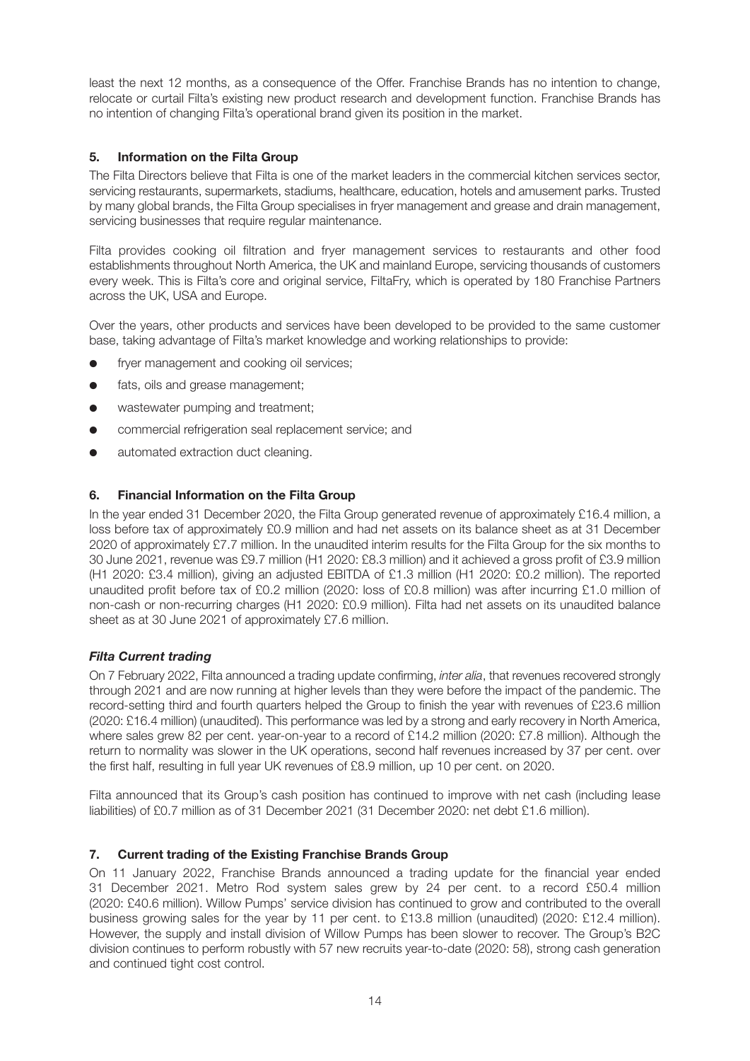least the next 12 months, as a consequence of the Offer. Franchise Brands has no intention to change, relocate or curtail Filta's existing new product research and development function. Franchise Brands has no intention of changing Filta's operational brand given its position in the market.

## **5. Information on the Filta Group**

The Filta Directors believe that Filta is one of the market leaders in the commercial kitchen services sector, servicing restaurants, supermarkets, stadiums, healthcare, education, hotels and amusement parks. Trusted by many global brands, the Filta Group specialises in fryer management and grease and drain management, servicing businesses that require regular maintenance.

Filta provides cooking oil filtration and fryer management services to restaurants and other food establishments throughout North America, the UK and mainland Europe, servicing thousands of customers every week. This is Filta's core and original service, FiltaFry, which is operated by 180 Franchise Partners across the UK, USA and Europe.

Over the years, other products and services have been developed to be provided to the same customer base, taking advantage of Filta's market knowledge and working relationships to provide:

- fryer management and cooking oil services;
- fats, oils and grease management;
- $\bullet$  wastewater pumping and treatment;
- **•** commercial refrigeration seal replacement service; and
- automated extraction duct cleaning.

## **6. Financial Information on the Filta Group**

In the year ended 31 December 2020, the Filta Group generated revenue of approximately £16.4 million, a loss before tax of approximately £0.9 million and had net assets on its balance sheet as at 31 December 2020 of approximately £7.7 million. In the unaudited interim results for the Filta Group for the six months to 30 June 2021, revenue was £9.7 million (H1 2020: £8.3 million) and it achieved a gross profit of £3.9 million (H1 2020: £3.4 million), giving an adjusted EBITDA of £1.3 million (H1 2020: £0.2 million). The reported unaudited profit before tax of £0.2 million (2020: loss of £0.8 million) was after incurring £1.0 million of non-cash or non-recurring charges (H1 2020: £0.9 million). Filta had net assets on its unaudited balance sheet as at 30 June 2021 of approximately £7.6 million.

#### *Filta Current trading*

On 7 February 2022, Filta announced a trading update confirming, *inter alia*, that revenues recovered strongly through 2021 and are now running at higher levels than they were before the impact of the pandemic. The record-setting third and fourth quarters helped the Group to finish the year with revenues of £23.6 million (2020: £16.4 million) (unaudited). This performance was led by a strong and early recovery in North America, where sales grew 82 per cent. year-on-year to a record of £14.2 million (2020: £7.8 million). Although the return to normality was slower in the UK operations, second half revenues increased by 37 per cent. over the first half, resulting in full year UK revenues of £8.9 million, up 10 per cent. on 2020.

Filta announced that its Group's cash position has continued to improve with net cash (including lease liabilities) of £0.7 million as of 31 December 2021 (31 December 2020: net debt £1.6 million).

#### **7. Current trading of the Existing Franchise Brands Group**

On 11 January 2022, Franchise Brands announced a trading update for the financial year ended 31 December 2021. Metro Rod system sales grew by 24 per cent. to a record £50.4 million (2020: £40.6 million). Willow Pumps' service division has continued to grow and contributed to the overall business growing sales for the year by 11 per cent. to £13.8 million (unaudited) (2020: £12.4 million). However, the supply and install division of Willow Pumps has been slower to recover. The Group's B2C division continues to perform robustly with 57 new recruits year-to-date (2020: 58), strong cash generation and continued tight cost control.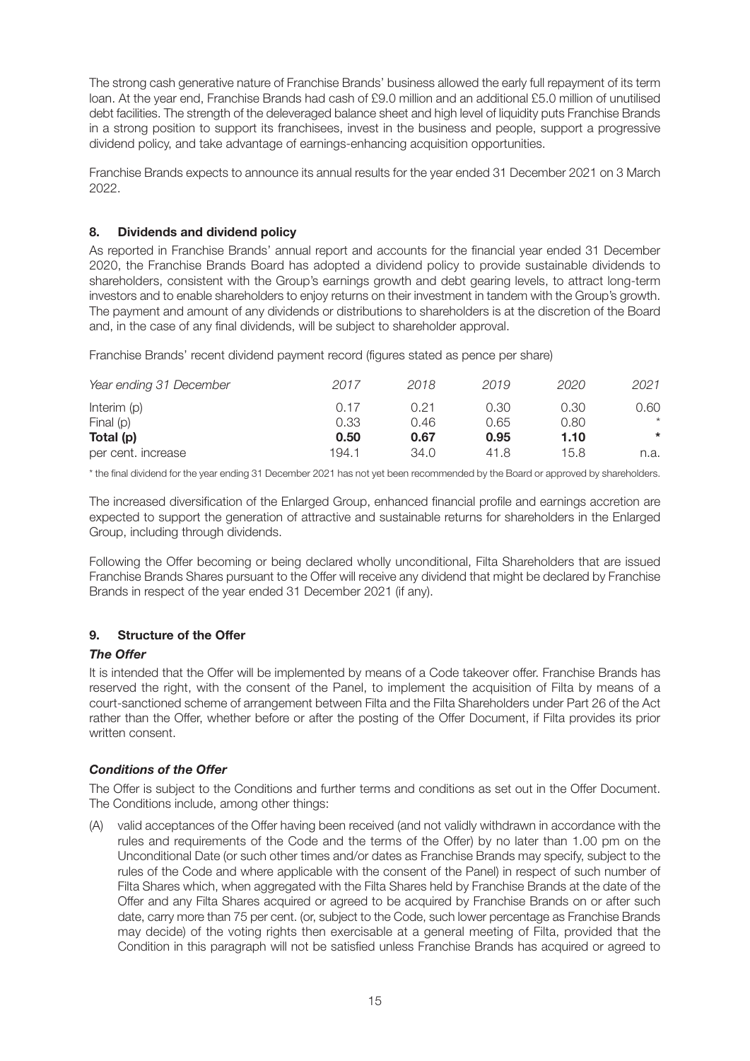The strong cash generative nature of Franchise Brands' business allowed the early full repayment of its term loan. At the year end, Franchise Brands had cash of £9.0 million and an additional £5.0 million of unutilised debt facilities. The strength of the deleveraged balance sheet and high level of liquidity puts Franchise Brands in a strong position to support its franchisees, invest in the business and people, support a progressive dividend policy, and take advantage of earnings-enhancing acquisition opportunities.

Franchise Brands expects to announce its annual results for the year ended 31 December 2021 on 3 March 2022.

## **8. Dividends and dividend policy**

As reported in Franchise Brands' annual report and accounts for the financial year ended 31 December 2020, the Franchise Brands Board has adopted a dividend policy to provide sustainable dividends to shareholders, consistent with the Group's earnings growth and debt gearing levels, to attract long-term investors and to enable shareholders to enjoy returns on their investment in tandem with the Group's growth. The payment and amount of any dividends or distributions to shareholders is at the discretion of the Board and, in the case of any final dividends, will be subject to shareholder approval.

Franchise Brands' recent dividend payment record (figures stated as pence per share)

| Year ending 31 December | 2017  | 2018 | 2019 | 2020 | 2021    |
|-------------------------|-------|------|------|------|---------|
| Interim $(p)$           | 0.17  | 0.21 | 0.30 | 0.30 | 0.60    |
| Final (p)               | 0.33  | 0.46 | 0.65 | 0.80 | $\star$ |
| Total (p)               | 0.50  | 0.67 | 0.95 | 1.10 | $\ast$  |
| per cent. increase      | 194.1 | 34.0 | 41.8 | 15.8 | n.a.    |

\* the final dividend for the year ending 31 December 2021 has not yet been recommended by the Board or approved by shareholders.

The increased diversification of the Enlarged Group, enhanced financial profile and earnings accretion are expected to support the generation of attractive and sustainable returns for shareholders in the Enlarged Group, including through dividends.

Following the Offer becoming or being declared wholly unconditional, Filta Shareholders that are issued Franchise Brands Shares pursuant to the Offer will receive any dividend that might be declared by Franchise Brands in respect of the year ended 31 December 2021 (if any).

## **9. Structure of the Offer**

#### *The Offer*

It is intended that the Offer will be implemented by means of a Code takeover offer. Franchise Brands has reserved the right, with the consent of the Panel, to implement the acquisition of Filta by means of a court-sanctioned scheme of arrangement between Filta and the Filta Shareholders under Part 26 of the Act rather than the Offer, whether before or after the posting of the Offer Document, if Filta provides its prior written consent.

#### *Conditions of the Offer*

The Offer is subject to the Conditions and further terms and conditions as set out in the Offer Document. The Conditions include, among other things:

(A) valid acceptances of the Offer having been received (and not validly withdrawn in accordance with the rules and requirements of the Code and the terms of the Offer) by no later than 1.00 pm on the Unconditional Date (or such other times and/or dates as Franchise Brands may specify, subject to the rules of the Code and where applicable with the consent of the Panel) in respect of such number of Filta Shares which, when aggregated with the Filta Shares held by Franchise Brands at the date of the Offer and any Filta Shares acquired or agreed to be acquired by Franchise Brands on or after such date, carry more than 75 per cent. (or, subject to the Code, such lower percentage as Franchise Brands may decide) of the voting rights then exercisable at a general meeting of Filta, provided that the Condition in this paragraph will not be satisfied unless Franchise Brands has acquired or agreed to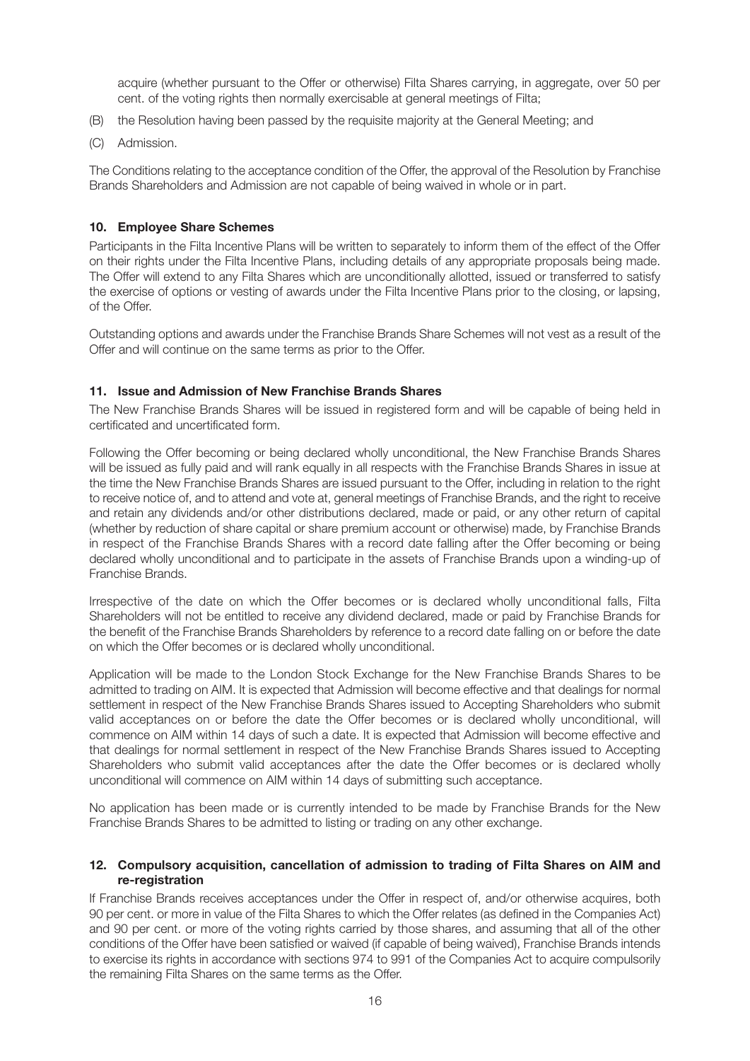acquire (whether pursuant to the Offer or otherwise) Filta Shares carrying, in aggregate, over 50 per cent. of the voting rights then normally exercisable at general meetings of Filta;

- (B) the Resolution having been passed by the requisite majority at the General Meeting; and
- (C) Admission.

The Conditions relating to the acceptance condition of the Offer, the approval of the Resolution by Franchise Brands Shareholders and Admission are not capable of being waived in whole or in part.

#### **10. Employee Share Schemes**

Participants in the Filta Incentive Plans will be written to separately to inform them of the effect of the Offer on their rights under the Filta Incentive Plans, including details of any appropriate proposals being made. The Offer will extend to any Filta Shares which are unconditionally allotted, issued or transferred to satisfy the exercise of options or vesting of awards under the Filta Incentive Plans prior to the closing, or lapsing, of the Offer.

Outstanding options and awards under the Franchise Brands Share Schemes will not vest as a result of the Offer and will continue on the same terms as prior to the Offer.

#### **11. Issue and Admission of New Franchise Brands Shares**

The New Franchise Brands Shares will be issued in registered form and will be capable of being held in certificated and uncertificated form.

Following the Offer becoming or being declared wholly unconditional, the New Franchise Brands Shares will be issued as fully paid and will rank equally in all respects with the Franchise Brands Shares in issue at the time the New Franchise Brands Shares are issued pursuant to the Offer, including in relation to the right to receive notice of, and to attend and vote at, general meetings of Franchise Brands, and the right to receive and retain any dividends and/or other distributions declared, made or paid, or any other return of capital (whether by reduction of share capital or share premium account or otherwise) made, by Franchise Brands in respect of the Franchise Brands Shares with a record date falling after the Offer becoming or being declared wholly unconditional and to participate in the assets of Franchise Brands upon a winding-up of Franchise Brands.

Irrespective of the date on which the Offer becomes or is declared wholly unconditional falls, Filta Shareholders will not be entitled to receive any dividend declared, made or paid by Franchise Brands for the benefit of the Franchise Brands Shareholders by reference to a record date falling on or before the date on which the Offer becomes or is declared wholly unconditional.

Application will be made to the London Stock Exchange for the New Franchise Brands Shares to be admitted to trading on AIM. It is expected that Admission will become effective and that dealings for normal settlement in respect of the New Franchise Brands Shares issued to Accepting Shareholders who submit valid acceptances on or before the date the Offer becomes or is declared wholly unconditional, will commence on AIM within 14 days of such a date. It is expected that Admission will become effective and that dealings for normal settlement in respect of the New Franchise Brands Shares issued to Accepting Shareholders who submit valid acceptances after the date the Offer becomes or is declared wholly unconditional will commence on AIM within 14 days of submitting such acceptance.

No application has been made or is currently intended to be made by Franchise Brands for the New Franchise Brands Shares to be admitted to listing or trading on any other exchange.

#### **12. Compulsory acquisition, cancellation of admission to trading of Filta Shares on AIM and re-registration**

If Franchise Brands receives acceptances under the Offer in respect of, and/or otherwise acquires, both 90 per cent. or more in value of the Filta Shares to which the Offer relates (as defined in the Companies Act) and 90 per cent. or more of the voting rights carried by those shares, and assuming that all of the other conditions of the Offer have been satisfied or waived (if capable of being waived), Franchise Brands intends to exercise its rights in accordance with sections 974 to 991 of the Companies Act to acquire compulsorily the remaining Filta Shares on the same terms as the Offer.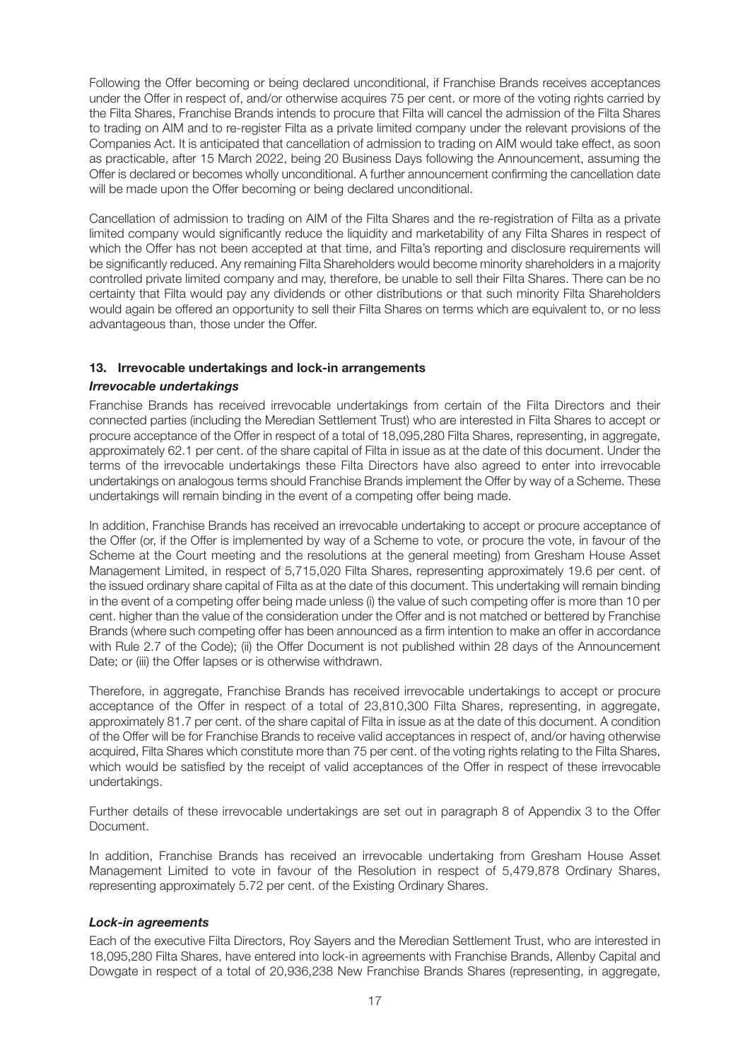Following the Offer becoming or being declared unconditional, if Franchise Brands receives acceptances under the Offer in respect of, and/or otherwise acquires 75 per cent. or more of the voting rights carried by the Filta Shares, Franchise Brands intends to procure that Filta will cancel the admission of the Filta Shares to trading on AIM and to re-register Filta as a private limited company under the relevant provisions of the Companies Act. It is anticipated that cancellation of admission to trading on AIM would take effect, as soon as practicable, after 15 March 2022, being 20 Business Days following the Announcement, assuming the Offer is declared or becomes wholly unconditional. A further announcement confirming the cancellation date will be made upon the Offer becoming or being declared unconditional.

Cancellation of admission to trading on AIM of the Filta Shares and the re-registration of Filta as a private limited company would significantly reduce the liquidity and marketability of any Filta Shares in respect of which the Offer has not been accepted at that time, and Filta's reporting and disclosure requirements will be significantly reduced. Any remaining Filta Shareholders would become minority shareholders in a majority controlled private limited company and may, therefore, be unable to sell their Filta Shares. There can be no certainty that Filta would pay any dividends or other distributions or that such minority Filta Shareholders would again be offered an opportunity to sell their Filta Shares on terms which are equivalent to, or no less advantageous than, those under the Offer.

#### **13. Irrevocable undertakings and lock-in arrangements**

#### *Irrevocable undertakings*

Franchise Brands has received irrevocable undertakings from certain of the Filta Directors and their connected parties (including the Meredian Settlement Trust) who are interested in Filta Shares to accept or procure acceptance of the Offer in respect of a total of 18,095,280 Filta Shares, representing, in aggregate, approximately 62.1 per cent. of the share capital of Filta in issue as at the date of this document. Under the terms of the irrevocable undertakings these Filta Directors have also agreed to enter into irrevocable undertakings on analogous terms should Franchise Brands implement the Offer by way of a Scheme. These undertakings will remain binding in the event of a competing offer being made.

In addition, Franchise Brands has received an irrevocable undertaking to accept or procure acceptance of the Offer (or, if the Offer is implemented by way of a Scheme to vote, or procure the vote, in favour of the Scheme at the Court meeting and the resolutions at the general meeting) from Gresham House Asset Management Limited, in respect of 5,715,020 Filta Shares, representing approximately 19.6 per cent. of the issued ordinary share capital of Filta as at the date of this document. This undertaking will remain binding in the event of a competing offer being made unless (i) the value of such competing offer is more than 10 per cent. higher than the value of the consideration under the Offer and is not matched or bettered by Franchise Brands (where such competing offer has been announced as a firm intention to make an offer in accordance with Rule 2.7 of the Code); (ii) the Offer Document is not published within 28 days of the Announcement Date; or (iii) the Offer lapses or is otherwise withdrawn.

Therefore, in aggregate, Franchise Brands has received irrevocable undertakings to accept or procure acceptance of the Offer in respect of a total of 23,810,300 Filta Shares, representing, in aggregate, approximately 81.7 per cent. of the share capital of Filta in issue as at the date of this document. A condition of the Offer will be for Franchise Brands to receive valid acceptances in respect of, and/or having otherwise acquired, Filta Shares which constitute more than 75 per cent. of the voting rights relating to the Filta Shares, which would be satisfied by the receipt of valid acceptances of the Offer in respect of these irrevocable undertakings.

Further details of these irrevocable undertakings are set out in paragraph 8 of Appendix 3 to the Offer Document.

In addition, Franchise Brands has received an irrevocable undertaking from Gresham House Asset Management Limited to vote in favour of the Resolution in respect of 5,479,878 Ordinary Shares, representing approximately 5.72 per cent. of the Existing Ordinary Shares.

#### *Lock-in agreements*

Each of the executive Filta Directors, Roy Sayers and the Meredian Settlement Trust, who are interested in 18,095,280 Filta Shares, have entered into lock-in agreements with Franchise Brands, Allenby Capital and Dowgate in respect of a total of 20,936,238 New Franchise Brands Shares (representing, in aggregate,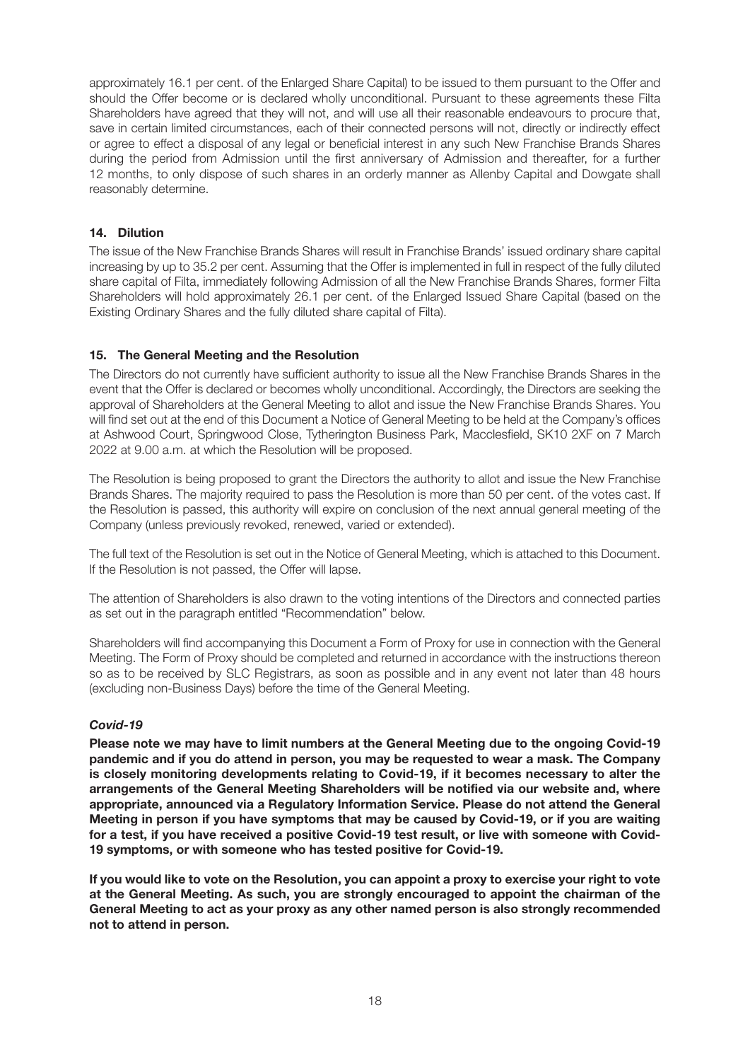approximately 16.1 per cent. of the Enlarged Share Capital) to be issued to them pursuant to the Offer and should the Offer become or is declared wholly unconditional. Pursuant to these agreements these Filta Shareholders have agreed that they will not, and will use all their reasonable endeavours to procure that, save in certain limited circumstances, each of their connected persons will not, directly or indirectly effect or agree to effect a disposal of any legal or beneficial interest in any such New Franchise Brands Shares during the period from Admission until the first anniversary of Admission and thereafter, for a further 12 months, to only dispose of such shares in an orderly manner as Allenby Capital and Dowgate shall reasonably determine.

## **14. Dilution**

The issue of the New Franchise Brands Shares will result in Franchise Brands' issued ordinary share capital increasing by up to 35.2 per cent. Assuming that the Offer is implemented in full in respect of the fully diluted share capital of Filta, immediately following Admission of all the New Franchise Brands Shares, former Filta Shareholders will hold approximately 26.1 per cent. of the Enlarged Issued Share Capital (based on the Existing Ordinary Shares and the fully diluted share capital of Filta).

## **15. The General Meeting and the Resolution**

The Directors do not currently have sufficient authority to issue all the New Franchise Brands Shares in the event that the Offer is declared or becomes wholly unconditional. Accordingly, the Directors are seeking the approval of Shareholders at the General Meeting to allot and issue the New Franchise Brands Shares. You will find set out at the end of this Document a Notice of General Meeting to be held at the Company's offices at Ashwood Court, Springwood Close, Tytherington Business Park, Macclesfield, SK10 2XF on 7 March 2022 at 9.00 a.m. at which the Resolution will be proposed.

The Resolution is being proposed to grant the Directors the authority to allot and issue the New Franchise Brands Shares. The majority required to pass the Resolution is more than 50 per cent. of the votes cast. If the Resolution is passed, this authority will expire on conclusion of the next annual general meeting of the Company (unless previously revoked, renewed, varied or extended).

The full text of the Resolution is set out in the Notice of General Meeting, which is attached to this Document. If the Resolution is not passed, the Offer will lapse.

The attention of Shareholders is also drawn to the voting intentions of the Directors and connected parties as set out in the paragraph entitled "Recommendation" below.

Shareholders will find accompanying this Document a Form of Proxy for use in connection with the General Meeting. The Form of Proxy should be completed and returned in accordance with the instructions thereon so as to be received by SLC Registrars, as soon as possible and in any event not later than 48 hours (excluding non-Business Days) before the time of the General Meeting.

#### *Covid-19*

**Please note we may have to limit numbers at the General Meeting due to the ongoing Covid-19 pandemic and if you do attend in person, you may be requested to wear a mask. The Company is closely monitoring developments relating to Covid-19, if it becomes necessary to alter the arrangements of the General Meeting Shareholders will be notified via our website and, where appropriate, announced via a Regulatory Information Service. Please do not attend the General Meeting in person if you have symptoms that may be caused by Covid-19, or if you are waiting for a test, if you have received a positive Covid-19 test result, or live with someone with Covid-19 symptoms, or with someone who has tested positive for Covid-19.**

**If you would like to vote on the Resolution, you can appoint a proxy to exercise your right to vote at the General Meeting. As such, you are strongly encouraged to appoint the chairman of the General Meeting to act as your proxy as any other named person is also strongly recommended not to attend in person.**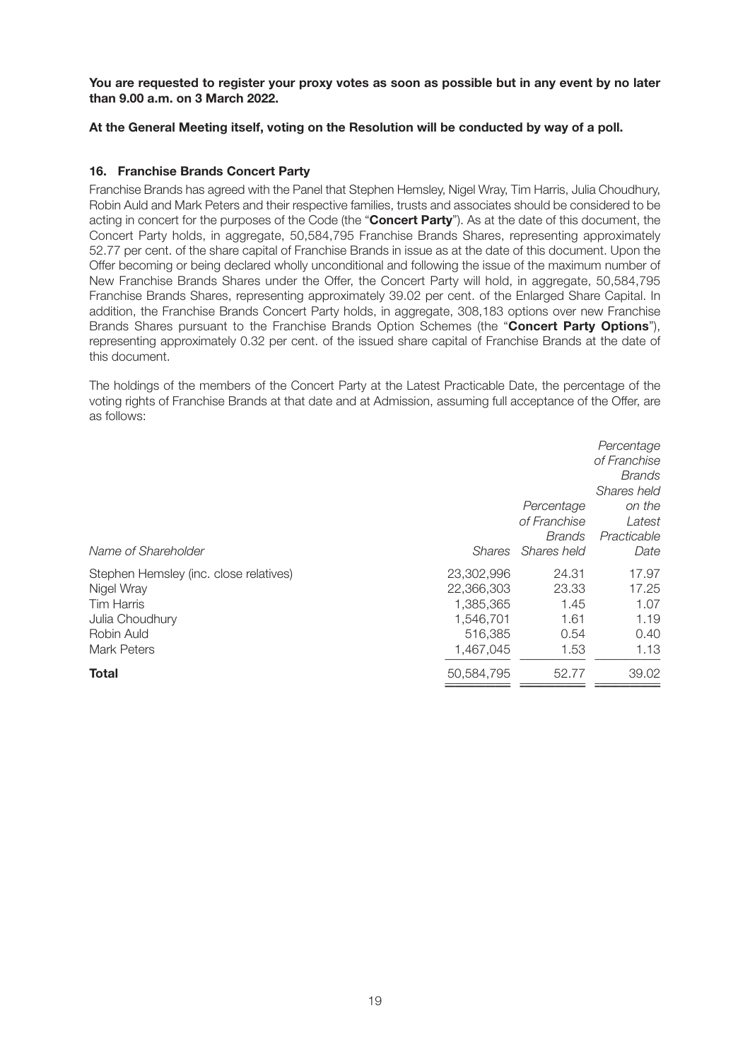**You are requested to register your proxy votes as soon as possible but in any event by no later than 9.00 a.m. on 3 March 2022.**

## **At the General Meeting itself, voting on the Resolution will be conducted by way of a poll.**

### **16. Franchise Brands Concert Party**

Franchise Brands has agreed with the Panel that Stephen Hemsley, Nigel Wray, Tim Harris, Julia Choudhury, Robin Auld and Mark Peters and their respective families, trusts and associates should be considered to be acting in concert for the purposes of the Code (the "**Concert Party**"). As at the date of this document, the Concert Party holds, in aggregate, 50,584,795 Franchise Brands Shares, representing approximately 52.77 per cent. of the share capital of Franchise Brands in issue as at the date of this document. Upon the Offer becoming or being declared wholly unconditional and following the issue of the maximum number of New Franchise Brands Shares under the Offer, the Concert Party will hold, in aggregate, 50,584,795 Franchise Brands Shares, representing approximately 39.02 per cent. of the Enlarged Share Capital. In addition, the Franchise Brands Concert Party holds, in aggregate, 308,183 options over new Franchise Brands Shares pursuant to the Franchise Brands Option Schemes (the "**Concert Party Options**"), representing approximately 0.32 per cent. of the issued share capital of Franchise Brands at the date of this document.

The holdings of the members of the Concert Party at the Latest Practicable Date, the percentage of the voting rights of Franchise Brands at that date and at Admission, assuming full acceptance of the Offer, are as follows:

|                                        |               |                    | Percentage<br>of Franchise   |
|----------------------------------------|---------------|--------------------|------------------------------|
|                                        |               |                    | <b>Brands</b><br>Shares held |
|                                        |               | Percentage         | on the                       |
|                                        |               | of Franchise       | Latest                       |
|                                        |               | <b>Brands</b>      | Practicable                  |
| Name of Shareholder                    | <b>Shares</b> | <b>Shares held</b> | Date                         |
| Stephen Hemsley (inc. close relatives) | 23,302,996    | 24.31              | 17.97                        |
| Nigel Wray                             | 22,366,303    | 23.33              | 17.25                        |
| <b>Tim Harris</b>                      | 1,385,365     | 1.45               | 1.07                         |
| Julia Choudhury                        | 1,546,701     | 1.61               | 1.19                         |
| Robin Auld                             | 516,385       | 0.54               | 0.40                         |
| Mark Peters                            | 1,467,045     | 1.53               | 1.13                         |
| <b>Total</b>                           | 50,584,795    | 52.77              | 39.02                        |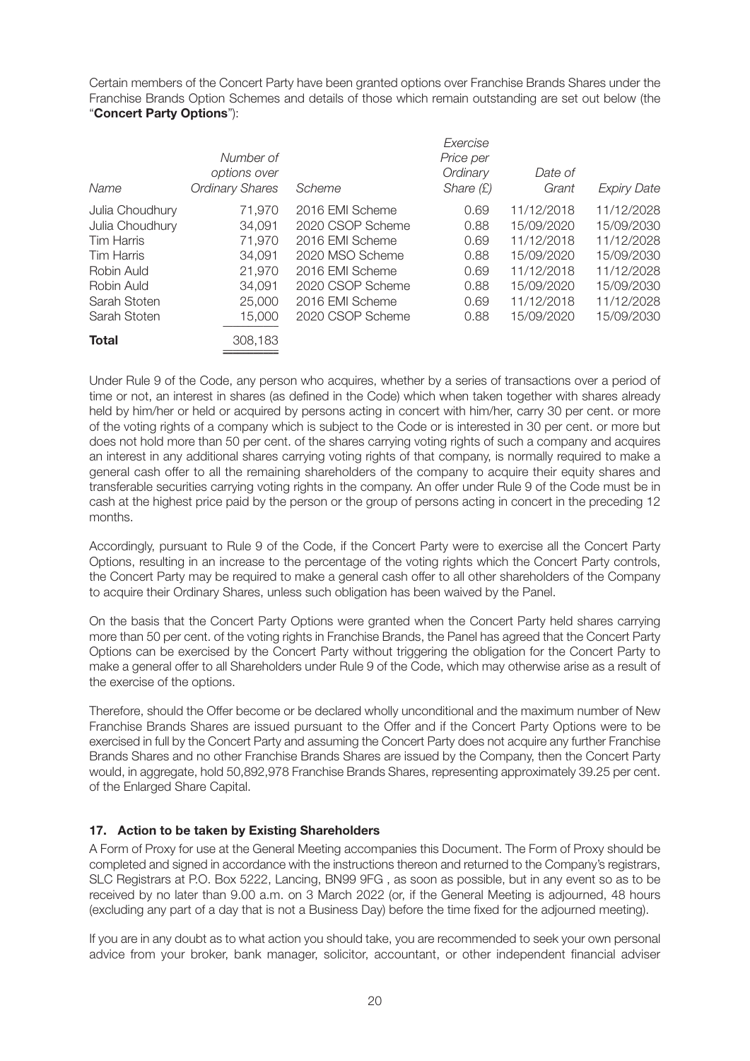Certain members of the Concert Party have been granted options over Franchise Brands Shares under the Franchise Brands Option Schemes and details of those which remain outstanding are set out below (the "**Concert Party Options**"):

|                   |                        |                  | Exercise    |            |                    |
|-------------------|------------------------|------------------|-------------|------------|--------------------|
|                   | Number of              |                  | Price per   |            |                    |
|                   | options over           |                  | Ordinary    | Date of    |                    |
| Name              | <b>Ordinary Shares</b> | Scheme           | Share $(E)$ | Grant      | <b>Expiry Date</b> |
| Julia Choudhury   | 71,970                 | 2016 EMI Scheme  | 0.69        | 11/12/2018 | 11/12/2028         |
| Julia Choudhury   | 34.091                 | 2020 CSOP Scheme | 0.88        | 15/09/2020 | 15/09/2030         |
| <b>Tim Harris</b> | 71,970                 | 2016 EMI Scheme  | 0.69        | 11/12/2018 | 11/12/2028         |
| Tim Harris        | 34,091                 | 2020 MSO Scheme  | 0.88        | 15/09/2020 | 15/09/2030         |
| Robin Auld        | 21,970                 | 2016 EMI Scheme  | 0.69        | 11/12/2018 | 11/12/2028         |
| Robin Auld        | 34,091                 | 2020 CSOP Scheme | 0.88        | 15/09/2020 | 15/09/2030         |
| Sarah Stoten      | 25,000                 | 2016 EMI Scheme  | 0.69        | 11/12/2018 | 11/12/2028         |
| Sarah Stoten      | 15,000                 | 2020 CSOP Scheme | 0.88        | 15/09/2020 | 15/09/2030         |
| <b>Total</b>      | 308,183                |                  |             |            |                    |
|                   |                        |                  |             |            |                    |

Under Rule 9 of the Code, any person who acquires, whether by a series of transactions over a period of time or not, an interest in shares (as defined in the Code) which when taken together with shares already held by him/her or held or acquired by persons acting in concert with him/her, carry 30 per cent. or more of the voting rights of a company which is subject to the Code or is interested in 30 per cent. or more but does not hold more than 50 per cent. of the shares carrying voting rights of such a company and acquires an interest in any additional shares carrying voting rights of that company, is normally required to make a general cash offer to all the remaining shareholders of the company to acquire their equity shares and transferable securities carrying voting rights in the company. An offer under Rule 9 of the Code must be in cash at the highest price paid by the person or the group of persons acting in concert in the preceding 12 months.

Accordingly, pursuant to Rule 9 of the Code, if the Concert Party were to exercise all the Concert Party Options, resulting in an increase to the percentage of the voting rights which the Concert Party controls, the Concert Party may be required to make a general cash offer to all other shareholders of the Company to acquire their Ordinary Shares, unless such obligation has been waived by the Panel.

On the basis that the Concert Party Options were granted when the Concert Party held shares carrying more than 50 per cent, of the voting rights in Franchise Brands, the Panel has agreed that the Concert Party Options can be exercised by the Concert Party without triggering the obligation for the Concert Party to make a general offer to all Shareholders under Rule 9 of the Code, which may otherwise arise as a result of the exercise of the options.

Therefore, should the Offer become or be declared wholly unconditional and the maximum number of New Franchise Brands Shares are issued pursuant to the Offer and if the Concert Party Options were to be exercised in full by the Concert Party and assuming the Concert Party does not acquire any further Franchise Brands Shares and no other Franchise Brands Shares are issued by the Company, then the Concert Party would, in aggregate, hold 50,892,978 Franchise Brands Shares, representing approximately 39.25 per cent. of the Enlarged Share Capital.

#### **17. Action to be taken by Existing Shareholders**

A Form of Proxy for use at the General Meeting accompanies this Document. The Form of Proxy should be completed and signed in accordance with the instructions thereon and returned to the Company's registrars, SLC Registrars at P.O. Box 5222, Lancing, BN99 9FG , as soon as possible, but in any event so as to be received by no later than 9.00 a.m. on 3 March 2022 (or, if the General Meeting is adjourned, 48 hours (excluding any part of a day that is not a Business Day) before the time fixed for the adjourned meeting).

If you are in any doubt as to what action you should take, you are recommended to seek your own personal advice from your broker, bank manager, solicitor, accountant, or other independent financial adviser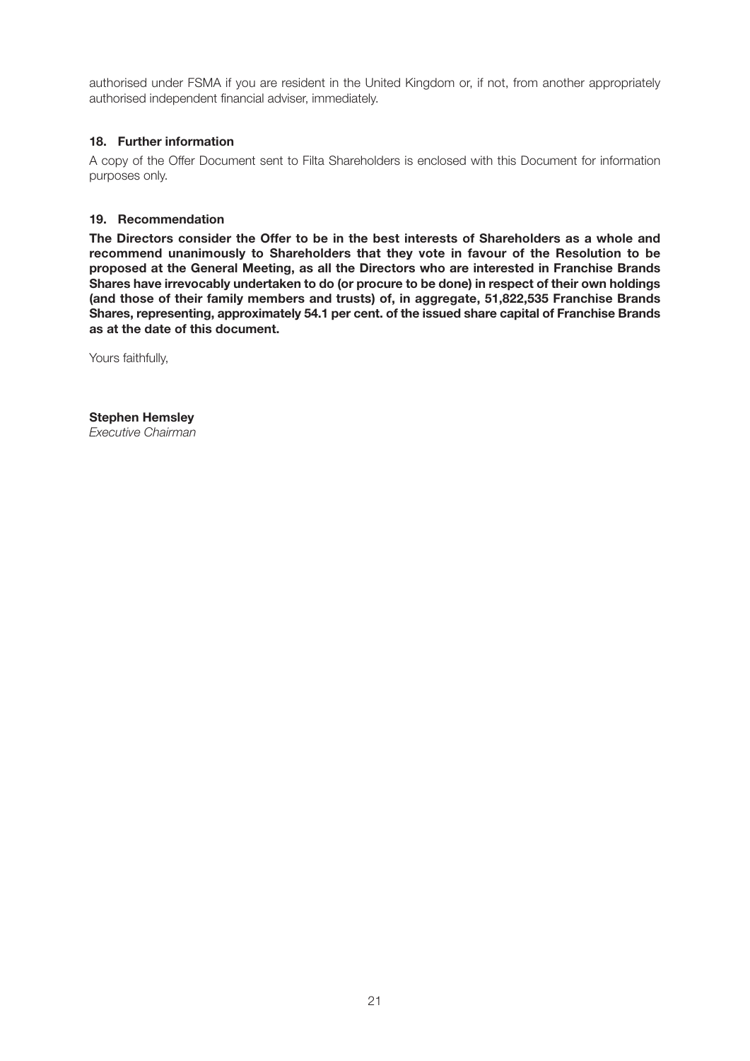authorised under FSMA if you are resident in the United Kingdom or, if not, from another appropriately authorised independent financial adviser, immediately.

### **18. Further information**

A copy of the Offer Document sent to Filta Shareholders is enclosed with this Document for information purposes only.

### **19. Recommendation**

**The Directors consider the Offer to be in the best interests of Shareholders as a whole and recommend unanimously to Shareholders that they vote in favour of the Resolution to be proposed at the General Meeting, as all the Directors who are interested in Franchise Brands Shares have irrevocably undertaken to do (or procure to be done) in respect of their own holdings (and those of their family members and trusts) of, in aggregate, 51,822,535 Franchise Brands Shares, representing, approximately 54.1 per cent. of the issued share capital of Franchise Brands as at the date of this document.**

Yours faithfully,

**Stephen Hemsley** *Executive Chairman*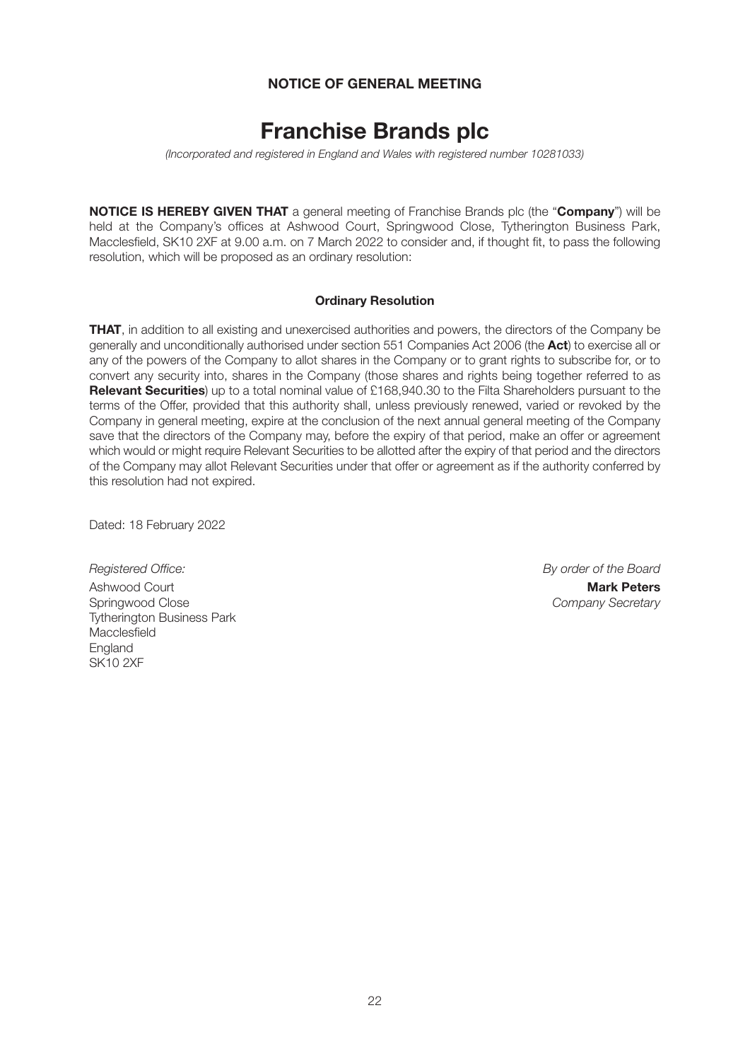## **NOTICE OF GENERAL MEETING**

# **Franchise Brands plc**

*(Incorporated and registered in England and Wales with registered number 10281033)*

**NOTICE IS HEREBY GIVEN THAT** a general meeting of Franchise Brands plc (the "**Company**") will be held at the Company's offices at Ashwood Court, Springwood Close, Tytherington Business Park, Macclesfield, SK10 2XF at 9.00 a.m. on 7 March 2022 to consider and, if thought fit, to pass the following resolution, which will be proposed as an ordinary resolution:

#### **Ordinary Resolution**

**THAT**, in addition to all existing and unexercised authorities and powers, the directors of the Company be generally and unconditionally authorised under section 551 Companies Act 2006 (the **Act**) to exercise all or any of the powers of the Company to allot shares in the Company or to grant rights to subscribe for, or to convert any security into, shares in the Company (those shares and rights being together referred to as **Relevant Securities**) up to a total nominal value of £168,940.30 to the Filta Shareholders pursuant to the terms of the Offer, provided that this authority shall, unless previously renewed, varied or revoked by the Company in general meeting, expire at the conclusion of the next annual general meeting of the Company save that the directors of the Company may, before the expiry of that period, make an offer or agreement which would or might require Relevant Securities to be allotted after the expiry of that period and the directors of the Company may allot Relevant Securities under that offer or agreement as if the authority conferred by this resolution had not expired.

Dated: 18 February 2022

*Registered Office: By order of the Board* Ashwood Court **Mark Peters** Tytherington Business Park **Macclesfield England** SK10 2XF

Company Secretary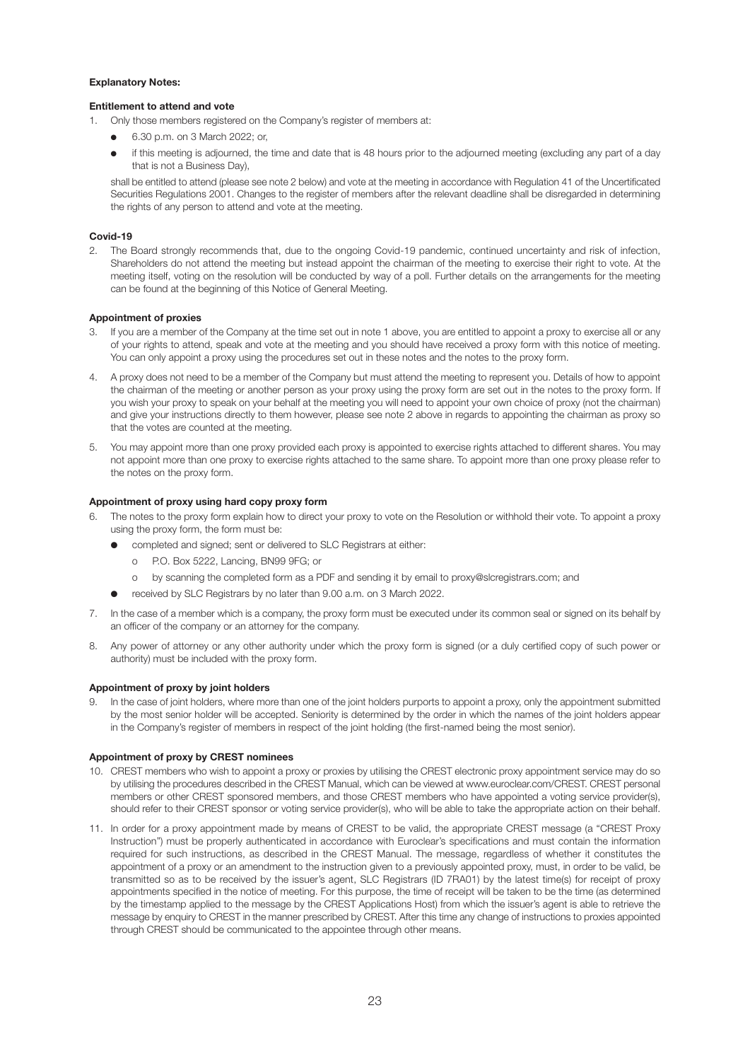#### **Explanatory Notes:**

#### **Entitlement to attend and vote**

- 1. Only those members registered on the Company's register of members at:
	- l 6.30 p.m. on 3 March 2022; or,
	- if this meeting is adjourned, the time and date that is 48 hours prior to the adjourned meeting (excluding any part of a day that is not a Business Day),

shall be entitled to attend (please see note 2 below) and vote at the meeting in accordance with Regulation 41 of the Uncertificated Securities Regulations 2001. Changes to the register of members after the relevant deadline shall be disregarded in determining the rights of any person to attend and vote at the meeting.

#### **Covid-19**

2. The Board strongly recommends that, due to the ongoing Covid-19 pandemic, continued uncertainty and risk of infection, Shareholders do not attend the meeting but instead appoint the chairman of the meeting to exercise their right to vote. At the meeting itself, voting on the resolution will be conducted by way of a poll. Further details on the arrangements for the meeting can be found at the beginning of this Notice of General Meeting.

#### **Appointment of proxies**

- If you are a member of the Company at the time set out in note 1 above, you are entitled to appoint a proxy to exercise all or any of your rights to attend, speak and vote at the meeting and you should have received a proxy form with this notice of meeting. You can only appoint a proxy using the procedures set out in these notes and the notes to the proxy form.
- 4. A proxy does not need to be a member of the Company but must attend the meeting to represent you. Details of how to appoint the chairman of the meeting or another person as your proxy using the proxy form are set out in the notes to the proxy form. If you wish your proxy to speak on your behalf at the meeting you will need to appoint your own choice of proxy (not the chairman) and give your instructions directly to them however, please see note 2 above in regards to appointing the chairman as proxy so that the votes are counted at the meeting.
- 5. You may appoint more than one proxy provided each proxy is appointed to exercise rights attached to different shares. You may not appoint more than one proxy to exercise rights attached to the same share. To appoint more than one proxy please refer to the notes on the proxy form.

#### **Appointment of proxy using hard copy proxy form**

- 6. The notes to the proxy form explain how to direct your proxy to vote on the Resolution or withhold their vote. To appoint a proxy using the proxy form, the form must be:
	- completed and signed; sent or delivered to SLC Registrars at either:
		- o P.O. Box 5222, Lancing, BN99 9FG; or
		- o by scanning the completed form as a PDF and sending it by email to proxy@slcregistrars.com; and
	- received by SLC Registrars by no later than 9.00 a.m. on 3 March 2022.
- 7. In the case of a member which is a company, the proxy form must be executed under its common seal or signed on its behalf by an officer of the company or an attorney for the company.
- 8. Any power of attorney or any other authority under which the proxy form is signed (or a duly certified copy of such power or authority) must be included with the proxy form.

#### **Appointment of proxy by joint holders**

9. In the case of joint holders, where more than one of the joint holders purports to appoint a proxy, only the appointment submitted by the most senior holder will be accepted. Seniority is determined by the order in which the names of the joint holders appear in the Company's register of members in respect of the joint holding (the first-named being the most senior).

#### **Appointment of proxy by CREST nominees**

- 10. CREST members who wish to appoint a proxy or proxies by utilising the CREST electronic proxy appointment service may do so by utilising the procedures described in the CREST Manual, which can be viewed at www.euroclear.com/CREST. CREST personal members or other CREST sponsored members, and those CREST members who have appointed a voting service provider(s), should refer to their CREST sponsor or voting service provider(s), who will be able to take the appropriate action on their behalf.
- 11. In order for a proxy appointment made by means of CREST to be valid, the appropriate CREST message (a "CREST Proxy Instruction") must be properly authenticated in accordance with Euroclear's specifications and must contain the information required for such instructions, as described in the CREST Manual. The message, regardless of whether it constitutes the appointment of a proxy or an amendment to the instruction given to a previously appointed proxy, must, in order to be valid, be transmitted so as to be received by the issuer's agent, SLC Registrars (ID 7RA01) by the latest time(s) for receipt of proxy appointments specified in the notice of meeting. For this purpose, the time of receipt will be taken to be the time (as determined by the timestamp applied to the message by the CREST Applications Host) from which the issuer's agent is able to retrieve the message by enquiry to CREST in the manner prescribed by CREST. After this time any change of instructions to proxies appointed through CREST should be communicated to the appointee through other means.